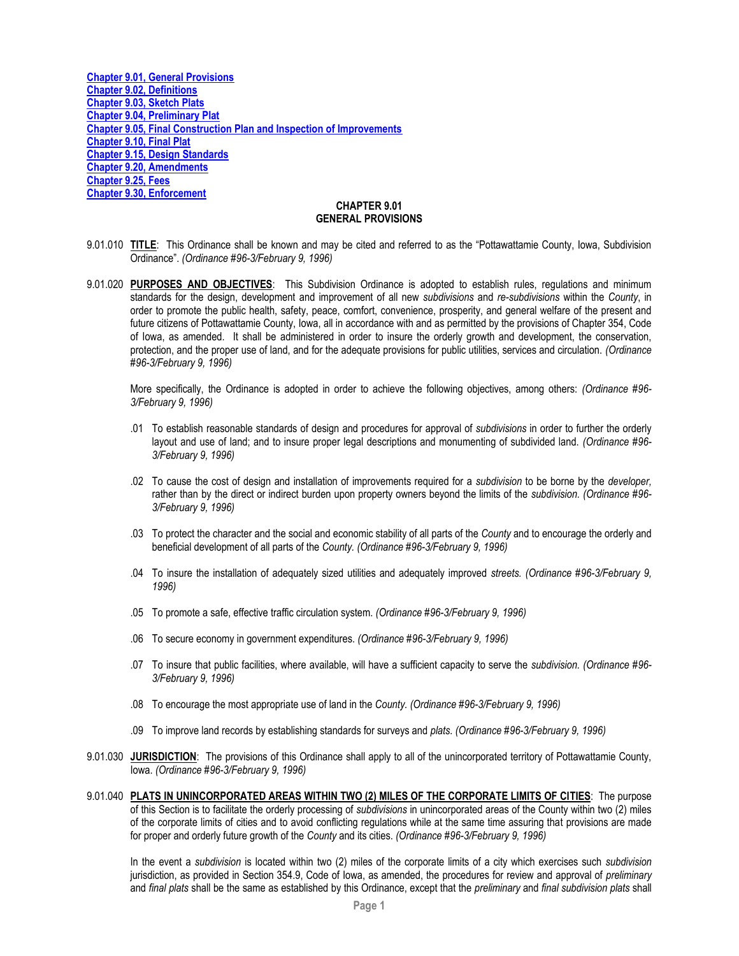**[Chapter 9.01, General Provisions](#page-0-0) [Chapter 9.02, Definitions](#page-4-0) [Chapter 9.03, Sketch Plats](#page-11-0) [Chapter 9.04, Preliminary Plat](#page-13-0) [Chapter 9.05, Final Construction Plan and Inspection of Improvements](#page-18-0) [Chapter 9.10, Final Plat](#page-22-0) [Chapter 9.15, Design Standards](#page-25-0) [Chapter 9.20, Amendments](#page-33-0) [Chapter 9.25, Fees](#page-34-0) [Chapter 9.30, Enforcement](#page-35-0)**

#### **CHAPTER 9.01 GENERAL PROVISIONS**

- <span id="page-0-0"></span>9.01.010 **TITLE**: This Ordinance shall be known and may be cited and referred to as the "Pottawattamie County, Iowa, Subdivision Ordinance". *(Ordinance #96-3/February 9, 1996)*
- 9.01.020 **PURPOSES AND OBJECTIVES**: This Subdivision Ordinance is adopted to establish rules, regulations and minimum standards for the design, development and improvement of all new *subdivisions* and *re-subdivisions* within the *County*, in order to promote the public health, safety, peace, comfort, convenience, prosperity, and general welfare of the present and future citizens of Pottawattamie County, Iowa, all in accordance with and as permitted by the provisions of Chapter 354, Code of Iowa, as amended. It shall be administered in order to insure the orderly growth and development, the conservation, protection, and the proper use of land, and for the adequate provisions for public utilities, services and circulation. *(Ordinance #96-3/February 9, 1996)*

More specifically, the Ordinance is adopted in order to achieve the following objectives, among others: *(Ordinance #96- 3/February 9, 1996)*

- .01 To establish reasonable standards of design and procedures for approval of *subdivisions* in order to further the orderly layout and use of land; and to insure proper legal descriptions and monumenting of subdivided land. *(Ordinance #96- 3/February 9, 1996)*
- .02 To cause the cost of design and installation of improvements required for a *subdivision* to be borne by the *developer,*  rather than by the direct or indirect burden upon property owners beyond the limits of the *subdivision. (Ordinance #96- 3/February 9, 1996)*
- .03 To protect the character and the social and economic stability of all parts of the *County* and to encourage the orderly and beneficial development of all parts of the *County. (Ordinance #96-3/February 9, 1996)*
- .04 To insure the installation of adequately sized utilities and adequately improved *streets. (Ordinance #96-3/February 9, 1996)*
- .05 To promote a safe, effective traffic circulation system. *(Ordinance #96-3/February 9, 1996)*
- .06 To secure economy in government expenditures. *(Ordinance #96-3/February 9, 1996)*
- .07 To insure that public facilities, where available, will have a sufficient capacity to serve the *subdivision. (Ordinance #96- 3/February 9, 1996)*
- .08 To encourage the most appropriate use of land in the *County. (Ordinance #96-3/February 9, 1996)*
- .09 To improve land records by establishing standards for surveys and *plats. (Ordinance #96-3/February 9, 1996)*
- 9.01.030 **JURISDICTION**: The provisions of this Ordinance shall apply to all of the unincorporated territory of Pottawattamie County, Iowa. *(Ordinance #96-3/February 9, 1996)*
- 9.01.040 **PLATS IN UNINCORPORATED AREAS WITHIN TWO (2) MILES OF THE CORPORATE LIMITS OF CITIES**: The purpose of this Section is to facilitate the orderly processing of *subdivisions* in unincorporated areas of the County within two (2) miles of the corporate limits of cities and to avoid conflicting regulations while at the same time assuring that provisions are made for proper and orderly future growth of the *County* and its cities. *(Ordinance #96-3/February 9, 1996)*

In the event a *subdivision* is located within two (2) miles of the corporate limits of a city which exercises such *subdivision*  jurisdiction, as provided in Section 354.9, Code of Iowa, as amended, the procedures for review and approval of *preliminary*  and *final plats* shall be the same as established by this Ordinance, except that the *preliminary* and *final subdivision plats* shall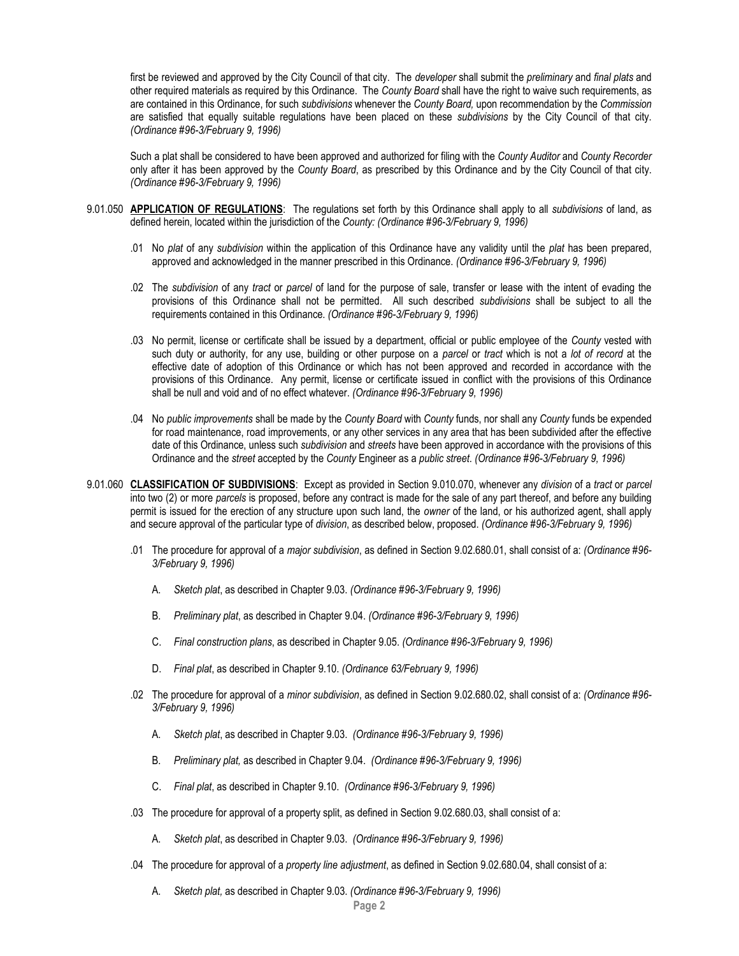first be reviewed and approved by the City Council of that city. The *developer* shall submit the *preliminary* and *final plats* and other required materials as required by this Ordinance. The *County Board* shall have the right to waive such requirements, as are contained in this Ordinance, for such *subdivisions* whenever the *County Board,* upon recommendation by the *Commission*  are satisfied that equally suitable regulations have been placed on these *subdivisions* by the City Council of that city. *(Ordinance #96-3/February 9, 1996)*

Such a plat shall be considered to have been approved and authorized for filing with the *County Auditor* and *County Recorder*  only after it has been approved by the *County Board*, as prescribed by this Ordinance and by the City Council of that city. *(Ordinance #96-3/February 9, 1996)*

- 9.01.050 **APPLICATION OF REGULATIONS**: The regulations set forth by this Ordinance shall apply to all *subdivisions* of land, as defined herein, located within the jurisdiction of the *County: (Ordinance #96-3/February 9, 1996)*
	- .01 No *plat* of any *subdivision* within the application of this Ordinance have any validity until the *plat* has been prepared, approved and acknowledged in the manner prescribed in this Ordinance. *(Ordinance #96-3/February 9, 1996)*
	- .02 The *subdivision* of any *tract* or *parcel* of land for the purpose of sale, transfer or lease with the intent of evading the provisions of this Ordinance shall not be permitted. All such described *subdivisions* shall be subject to all the requirements contained in this Ordinance. *(Ordinance #96-3/February 9, 1996)*
	- .03 No permit, license or certificate shall be issued by a department, official or public employee of the *County* vested with such duty or authority, for any use, building or other purpose on a *parcel* or *tract* which is not a *lot of record* at the effective date of adoption of this Ordinance or which has not been approved and recorded in accordance with the provisions of this Ordinance. Any permit, license or certificate issued in conflict with the provisions of this Ordinance shall be null and void and of no effect whatever. *(Ordinance #96-3/February 9, 1996)*
	- .04 No *public improvements* shall be made by the *County Board* with *County* funds, nor shall any *County* funds be expended for road maintenance, road improvements, or any other services in any area that has been subdivided after the effective date of this Ordinance, unless such *subdivision* and *streets* have been approved in accordance with the provisions of this Ordinance and the *street* accepted by the *County* Engineer as a *public street*. *(Ordinance #96-3/February 9, 1996)*
- 9.01.060 **CLASSIFICATION OF SUBDIVISIONS**: Except as provided in Section 9.010.070, whenever any *division* of a *tract* or *parcel*  into two (2) or more *parcels* is proposed, before any contract is made for the sale of any part thereof, and before any building permit is issued for the erection of any structure upon such land, the *owner* of the land, or his authorized agent, shall apply and secure approval of the particular type of *division*, as described below, proposed. *(Ordinance #96-3/February 9, 1996)*
	- .01 The procedure for approval of a *major subdivision*, as defined in Section 9.02.680.01, shall consist of a: *(Ordinance #96- 3/February 9, 1996)*
		- A. *Sketch plat*, as described in Chapter 9.03. *(Ordinance #96-3/February 9, 1996)*
		- B. *Preliminary plat*, as described in Chapter 9.04. *(Ordinance #96-3/February 9, 1996)*
		- C. *Final construction plans*, as described in Chapter 9.05. *(Ordinance #96-3/February 9, 1996)*
		- D. *Final plat*, as described in Chapter 9.10. *(Ordinance 63/February 9, 1996)*
	- .02 The procedure for approval of a *minor subdivision*, as defined in Section 9.02.680.02, shall consist of a: *(Ordinance #96- 3/February 9, 1996)*
		- A. *Sketch plat*, as described in Chapter 9.03. *(Ordinance #96-3/February 9, 1996)*
		- B. *Preliminary plat,* as described in Chapter 9.04. *(Ordinance #96-3/February 9, 1996)*
		- C. *Final plat*, as described in Chapter 9.10. *(Ordinance #96-3/February 9, 1996)*
	- .03 The procedure for approval of a property split, as defined in Section 9.02.680.03, shall consist of a:
		- A. *Sketch plat*, as described in Chapter 9.03. *(Ordinance #96-3/February 9, 1996)*
	- .04 The procedure for approval of a *property line adjustment*, as defined in Section 9.02.680.04, shall consist of a:
		- A. *Sketch plat,* as described in Chapter 9.03. *(Ordinance #96-3/February 9, 1996)*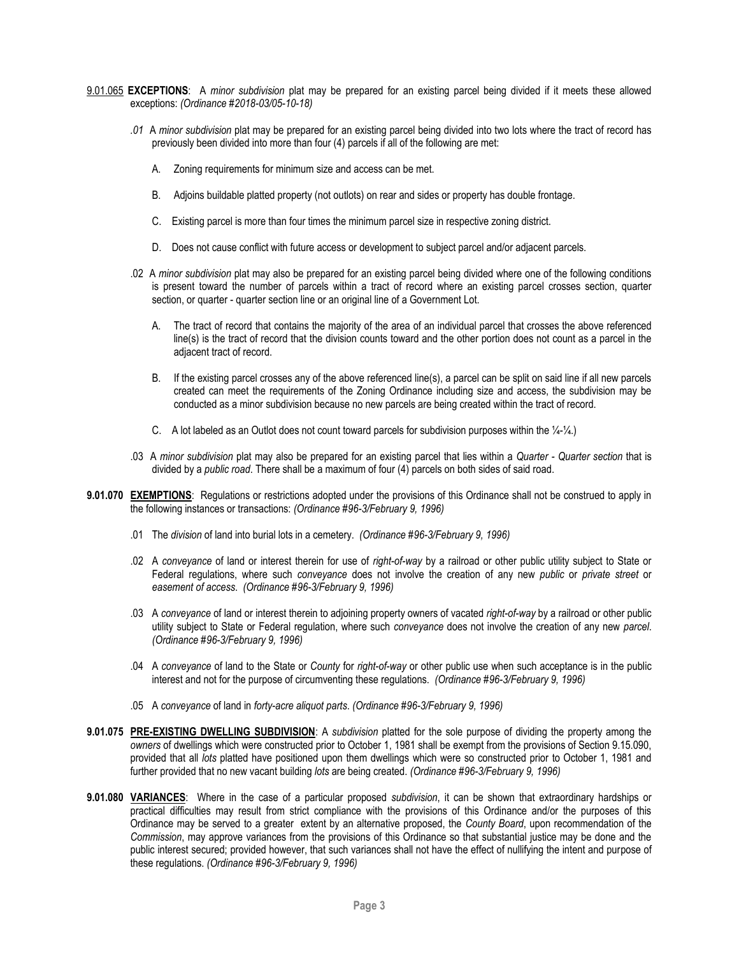- 9.01.065 **EXCEPTIONS**: A *minor subdivision* plat may be prepared for an existing parcel being divided if it meets these allowed exceptions: *(Ordinance #2018-03/05-10-18)*
	- *.01* A *minor subdivision* plat may be prepared for an existing parcel being divided into two lots where the tract of record has previously been divided into more than four (4) parcels if all of the following are met:
		- A. Zoning requirements for minimum size and access can be met.
		- B. Adjoins buildable platted property (not outlots) on rear and sides or property has double frontage.
		- C. Existing parcel is more than four times the minimum parcel size in respective zoning district.
		- D. Does not cause conflict with future access or development to subject parcel and/or adjacent parcels.
	- .02 A *minor subdivision* plat may also be prepared for an existing parcel being divided where one of the following conditions is present toward the number of parcels within a tract of record where an existing parcel crosses section, quarter section, or quarter - quarter section line or an original line of a Government Lot.
		- A. The tract of record that contains the majority of the area of an individual parcel that crosses the above referenced line(s) is the tract of record that the division counts toward and the other portion does not count as a parcel in the adjacent tract of record.
		- B. If the existing parcel crosses any of the above referenced line(s), a parcel can be split on said line if all new parcels created can meet the requirements of the Zoning Ordinance including size and access, the subdivision may be conducted as a minor subdivision because no new parcels are being created within the tract of record.
		- C. A lot labeled as an Outlot does not count toward parcels for subdivision purposes within the ¼-¼.)
	- .03 A *minor subdivision* plat may also be prepared for an existing parcel that lies within a *Quarter - Quarter section* that is divided by a *public road*. There shall be a maximum of four (4) parcels on both sides of said road.
- **9.01.070 EXEMPTIONS**: Regulations or restrictions adopted under the provisions of this Ordinance shall not be construed to apply in the following instances or transactions: *(Ordinance #96-3/February 9, 1996)*
	- .01 The *division* of land into burial lots in a cemetery. *(Ordinance #96-3/February 9, 1996)*
	- .02 A *conveyance* of land or interest therein for use of *right-of-way* by a railroad or other public utility subject to State or Federal regulations, where such *conveyance* does not involve the creation of any new *public* or *private street* or *easement of access*. *(Ordinance #96-3/February 9, 1996)*
	- .03 A *conveyance* of land or interest therein to adjoining property owners of vacated *right-of-way* by a railroad or other public utility subject to State or Federal regulation, where such *conveyance* does not involve the creation of any new *parcel*. *(Ordinance #96-3/February 9, 1996)*
	- .04 A *conveyance* of land to the State or *County* for *right-of-way* or other public use when such acceptance is in the public interest and not for the purpose of circumventing these regulations. *(Ordinance #96-3/February 9, 1996)*
	- .05 A *conveyance* of land in *forty-acre aliquot parts*. *(Ordinance #96-3/February 9, 1996)*
- **9.01.075 PRE-EXISTING DWELLING SUBDIVISION**: A *subdivision* platted for the sole purpose of dividing the property among the *owners* of dwellings which were constructed prior to October 1, 1981 shall be exempt from the provisions of Section 9.15.090, provided that all *lots* platted have positioned upon them dwellings which were so constructed prior to October 1, 1981 and further provided that no new vacant building *lots* are being created. *(Ordinance #96-3/February 9, 1996)*
- **9.01.080 VARIANCES**: Where in the case of a particular proposed *subdivision*, it can be shown that extraordinary hardships or practical difficulties may result from strict compliance with the provisions of this Ordinance and/or the purposes of this Ordinance may be served to a greater extent by an alternative proposed, the *County Board*, upon recommendation of the *Commission*, may approve variances from the provisions of this Ordinance so that substantial justice may be done and the public interest secured; provided however, that such variances shall not have the effect of nullifying the intent and purpose of these regulations. *(Ordinance #96-3/February 9, 1996)*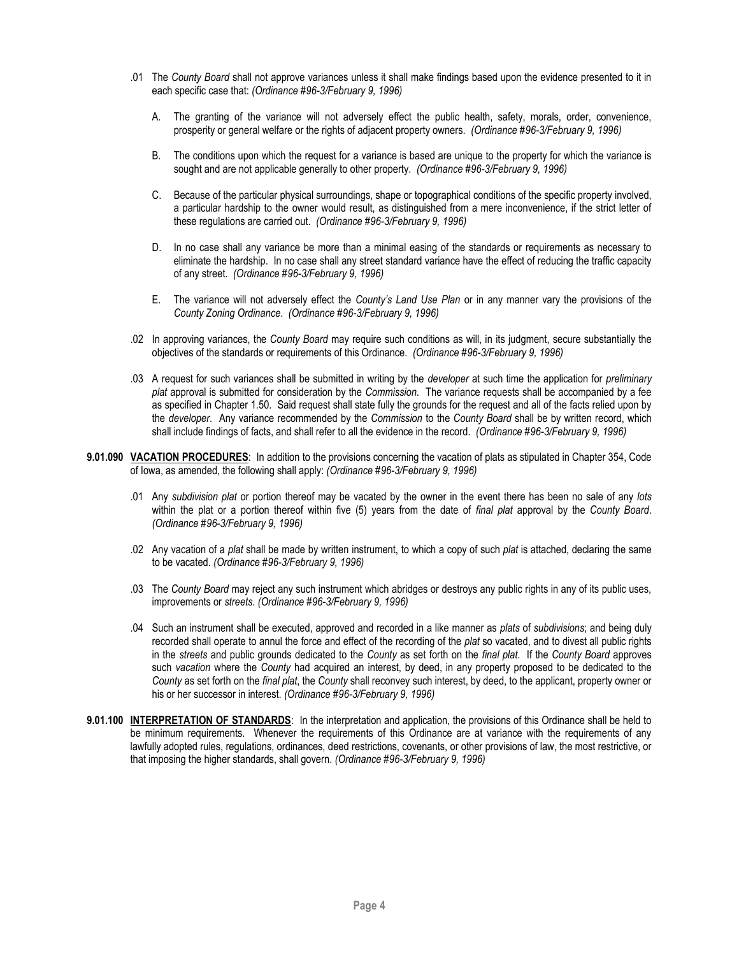- .01 The *County Board* shall not approve variances unless it shall make findings based upon the evidence presented to it in each specific case that: *(Ordinance #96-3/February 9, 1996)*
	- A. The granting of the variance will not adversely effect the public health, safety, morals, order, convenience, prosperity or general welfare or the rights of adjacent property owners. *(Ordinance #96-3/February 9, 1996)*
	- B. The conditions upon which the request for a variance is based are unique to the property for which the variance is sought and are not applicable generally to other property. *(Ordinance #96-3/February 9, 1996)*
	- C. Because of the particular physical surroundings, shape or topographical conditions of the specific property involved, a particular hardship to the owner would result, as distinguished from a mere inconvenience, if the strict letter of these regulations are carried out. *(Ordinance #96-3/February 9, 1996)*
	- D. In no case shall any variance be more than a minimal easing of the standards or requirements as necessary to eliminate the hardship. In no case shall any street standard variance have the effect of reducing the traffic capacity of any street. *(Ordinance #96-3/February 9, 1996)*
	- E. The variance will not adversely effect the *County's Land Use Plan* or in any manner vary the provisions of the *County Zoning Ordinance*. *(Ordinance #96-3/February 9, 1996)*
- .02 In approving variances, the *County Board* may require such conditions as will, in its judgment, secure substantially the objectives of the standards or requirements of this Ordinance. *(Ordinance #96-3/February 9, 1996)*
- .03 A request for such variances shall be submitted in writing by the *developer* at such time the application for *preliminary plat* approval is submitted for consideration by the *Commission*. The variance requests shall be accompanied by a fee as specified in Chapter 1.50. Said request shall state fully the grounds for the request and all of the facts relied upon by the *developer*. Any variance recommended by the *Commission* to the *County Board* shall be by written record, which shall include findings of facts, and shall refer to all the evidence in the record. *(Ordinance #96-3/February 9, 1996)*
- **9.01.090 VACATION PROCEDURES**: In addition to the provisions concerning the vacation of plats as stipulated in Chapter 354, Code of Iowa, as amended, the following shall apply: *(Ordinance #96-3/February 9, 1996)*
	- .01 Any *subdivision plat* or portion thereof may be vacated by the owner in the event there has been no sale of any *lots* within the plat or a portion thereof within five (5) years from the date of *final plat* approval by the *County Board*. *(Ordinance #96-3/February 9, 1996)*
	- .02 Any vacation of a *plat* shall be made by written instrument, to which a copy of such *plat* is attached, declaring the same to be vacated. *(Ordinance #96-3/February 9, 1996)*
	- .03 The *County Board* may reject any such instrument which abridges or destroys any public rights in any of its public uses, improvements or *streets*. *(Ordinance #96-3/February 9, 1996)*
	- .04 Such an instrument shall be executed, approved and recorded in a like manner as *plats* of *subdivisions*; and being duly recorded shall operate to annul the force and effect of the recording of the *plat* so vacated, and to divest all public rights in the *streets* and public grounds dedicated to the *County* as set forth on the *final plat*. If the *County Board* approves such *vacation* where the *County* had acquired an interest, by deed, in any property proposed to be dedicated to the *County* as set forth on the *final plat*, the *County* shall reconvey such interest, by deed, to the applicant, property owner or his or her successor in interest. *(Ordinance #96-3/February 9, 1996)*
- **9.01.100 INTERPRETATION OF STANDARDS**: In the interpretation and application, the provisions of this Ordinance shall be held to be minimum requirements. Whenever the requirements of this Ordinance are at variance with the requirements of any lawfully adopted rules, regulations, ordinances, deed restrictions, covenants, or other provisions of law, the most restrictive, or that imposing the higher standards, shall govern. *(Ordinance #96-3/February 9, 1996)*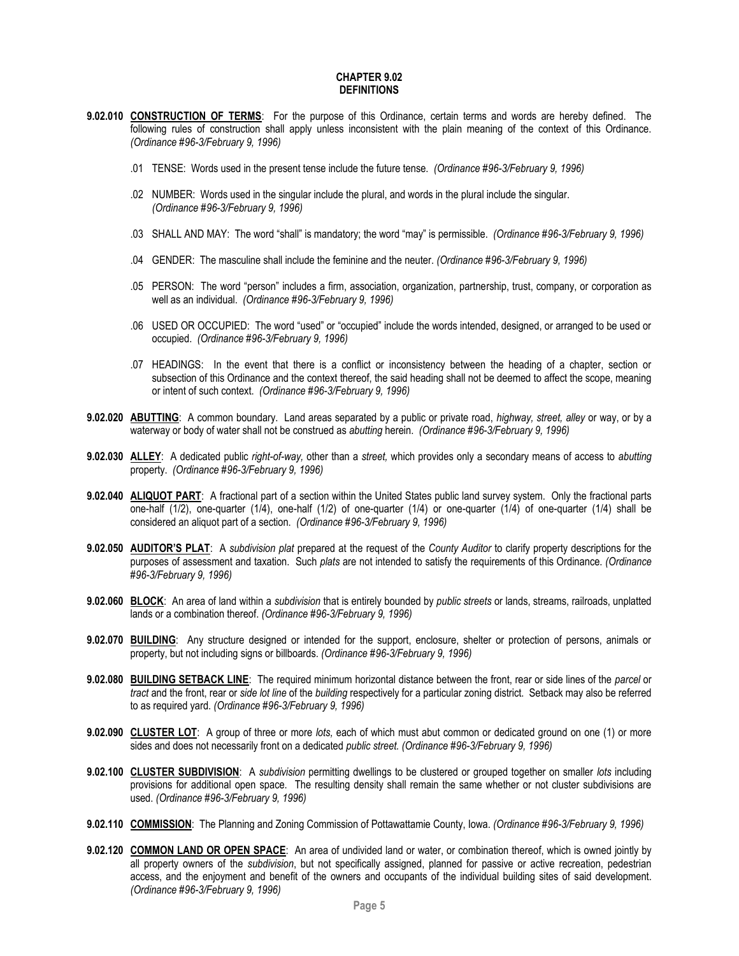#### **CHAPTER 9.02 DEFINITIONS**

- <span id="page-4-0"></span>**9.02.010 CONSTRUCTION OF TERMS**: For the purpose of this Ordinance, certain terms and words are hereby defined. The following rules of construction shall apply unless inconsistent with the plain meaning of the context of this Ordinance. *(Ordinance #96-3/February 9, 1996)*
	- .01 TENSE: Words used in the present tense include the future tense. *(Ordinance #96-3/February 9, 1996)*
	- .02 NUMBER: Words used in the singular include the plural, and words in the plural include the singular. *(Ordinance #96-3/February 9, 1996)*
	- .03 SHALL AND MAY: The word "shall" is mandatory; the word "may" is permissible. *(Ordinance #96-3/February 9, 1996)*
	- .04 GENDER: The masculine shall include the feminine and the neuter. *(Ordinance #96-3/February 9, 1996)*
	- .05 PERSON: The word "person" includes a firm, association, organization, partnership, trust, company, or corporation as well as an individual. *(Ordinance #96-3/February 9, 1996)*
	- .06 USED OR OCCUPIED: The word "used" or "occupied" include the words intended, designed, or arranged to be used or occupied. *(Ordinance #96-3/February 9, 1996)*
	- .07 HEADINGS: In the event that there is a conflict or inconsistency between the heading of a chapter, section or subsection of this Ordinance and the context thereof, the said heading shall not be deemed to affect the scope, meaning or intent of such context. *(Ordinance #96-3/February 9, 1996)*
- **9.02.020 ABUTTING**: A common boundary. Land areas separated by a public or private road, *highway, street, alley* or way, or by a waterway or body of water shall not be construed as *abutting* herein. *(Ordinance #96-3/February 9, 1996)*
- **9.02.030 ALLEY**: A dedicated public *right-of-way,* other than a *street,* which provides only a secondary means of access to *abutting*  property. *(Ordinance #96-3/February 9, 1996)*
- **9.02.040 ALIQUOT PART**: A fractional part of a section within the United States public land survey system. Only the fractional parts one-half (1/2), one-quarter (1/4), one-half (1/2) of one-quarter (1/4) or one-quarter (1/4) of one-quarter (1/4) shall be considered an aliquot part of a section. *(Ordinance #96-3/February 9, 1996)*
- **9.02.050 AUDITOR'S PLAT**: A *subdivision plat* prepared at the request of the *County Auditor* to clarify property descriptions for the purposes of assessment and taxation. Such *plats* are not intended to satisfy the requirements of this Ordinance. *(Ordinance #96-3/February 9, 1996)*
- **9.02.060 BLOCK**: An area of land within a *subdivision* that is entirely bounded by *public streets* or lands, streams, railroads, unplatted lands or a combination thereof. *(Ordinance #96-3/February 9, 1996)*
- **9.02.070 BUILDING**: Any structure designed or intended for the support, enclosure, shelter or protection of persons, animals or property, but not including signs or billboards. *(Ordinance #96-3/February 9, 1996)*
- **9.02.080 BUILDING SETBACK LINE**: The required minimum horizontal distance between the front, rear or side lines of the *parcel* or *tract* and the front, rear or *side lot line* of the *building* respectively for a particular zoning district. Setback may also be referred to as required yard. *(Ordinance #96-3/February 9, 1996)*
- **9.02.090 CLUSTER LOT**: A group of three or more *lots,* each of which must abut common or dedicated ground on one (1) or more sides and does not necessarily front on a dedicated *public street. (Ordinance #96-3/February 9, 1996)*
- **9.02.100 CLUSTER SUBDIVISION**: A *subdivision* permitting dwellings to be clustered or grouped together on smaller *lots* including provisions for additional open space. The resulting density shall remain the same whether or not cluster subdivisions are used. *(Ordinance #96-3/February 9, 1996)*
- **9.02.110 COMMISSION**: The Planning and Zoning Commission of Pottawattamie County, Iowa. *(Ordinance #96-3/February 9, 1996)*
- **9.02.120 COMMON LAND OR OPEN SPACE**: An area of undivided land or water, or combination thereof, which is owned jointly by all property owners of the *subdivision*, but not specifically assigned, planned for passive or active recreation, pedestrian access, and the enjoyment and benefit of the owners and occupants of the individual building sites of said development. *(Ordinance #96-3/February 9, 1996)*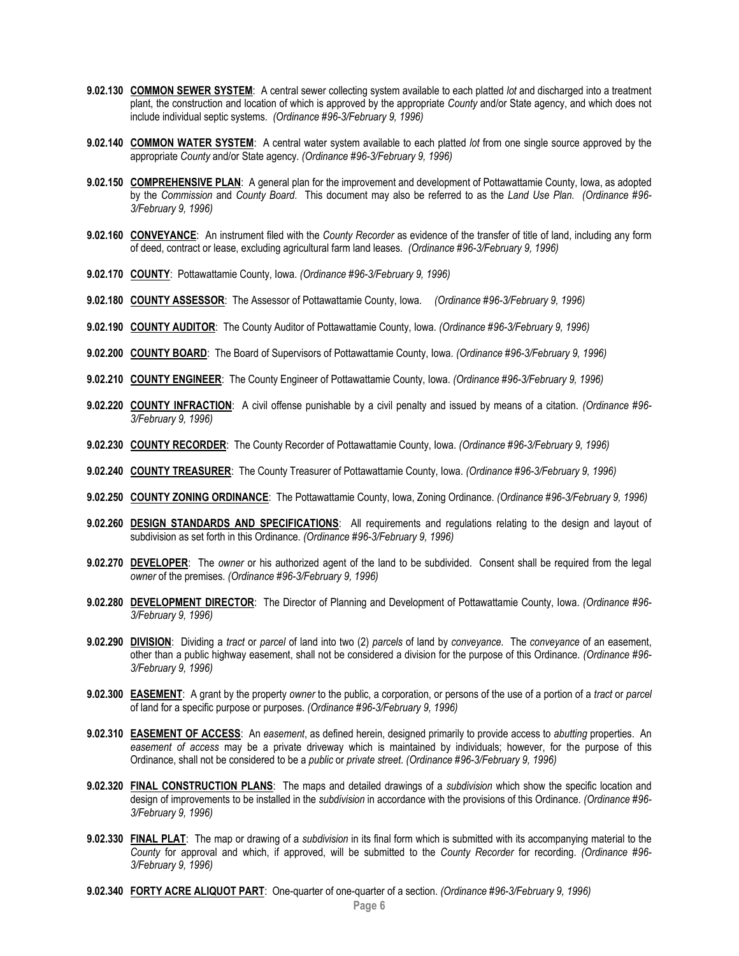- **9.02.130 COMMON SEWER SYSTEM**: A central sewer collecting system available to each platted *lot* and discharged into a treatment plant, the construction and location of which is approved by the appropriate *County* and/or State agency, and which does not include individual septic systems. *(Ordinance #96-3/February 9, 1996)*
- **9.02.140 COMMON WATER SYSTEM**: A central water system available to each platted *lot* from one single source approved by the appropriate *County* and/or State agency. *(Ordinance #96-3/February 9, 1996)*
- **9.02.150 COMPREHENSIVE PLAN**: A general plan for the improvement and development of Pottawattamie County, Iowa, as adopted by the *Commission* and *County Board*. This document may also be referred to as the *Land Use Plan. (Ordinance #96- 3/February 9, 1996)*
- **9.02.160 CONVEYANCE**: An instrument filed with the *County Recorder* as evidence of the transfer of title of land, including any form of deed, contract or lease, excluding agricultural farm land leases. *(Ordinance #96-3/February 9, 1996)*
- **9.02.170 COUNTY**: Pottawattamie County, Iowa. *(Ordinance #96-3/February 9, 1996)*
- **9.02.180 COUNTY ASSESSOR**: The Assessor of Pottawattamie County, Iowa. *(Ordinance #96-3/February 9, 1996)*
- **9.02.190 COUNTY AUDITOR**: The County Auditor of Pottawattamie County, Iowa. *(Ordinance #96-3/February 9, 1996)*
- **9.02.200 COUNTY BOARD**: The Board of Supervisors of Pottawattamie County, Iowa. *(Ordinance #96-3/February 9, 1996)*
- **9.02.210 COUNTY ENGINEER**: The County Engineer of Pottawattamie County, Iowa. *(Ordinance #96-3/February 9, 1996)*
- **9.02.220 COUNTY INFRACTION**: A civil offense punishable by a civil penalty and issued by means of a citation. *(Ordinance #96- 3/February 9, 1996)*
- **9.02.230 COUNTY RECORDER**: The County Recorder of Pottawattamie County, Iowa. *(Ordinance #96-3/February 9, 1996)*
- **9.02.240 COUNTY TREASURER**: The County Treasurer of Pottawattamie County, Iowa. *(Ordinance #96-3/February 9, 1996)*
- **9.02.250 COUNTY ZONING ORDINANCE**: The Pottawattamie County, Iowa, Zoning Ordinance. *(Ordinance #96-3/February 9, 1996)*
- **9.02.260 DESIGN STANDARDS AND SPECIFICATIONS**: All requirements and regulations relating to the design and layout of subdivision as set forth in this Ordinance. *(Ordinance #96-3/February 9, 1996)*
- **9.02.270 DEVELOPER**: The *owner* or his authorized agent of the land to be subdivided. Consent shall be required from the legal *owner* of the premises. *(Ordinance #96-3/February 9, 1996)*
- **9.02.280 DEVELOPMENT DIRECTOR**: The Director of Planning and Development of Pottawattamie County, Iowa. *(Ordinance #96- 3/February 9, 1996)*
- **9.02.290 DIVISION**: Dividing a *tract* or *parcel* of land into two (2) *parcels* of land by *conveyance*. The *conveyance* of an easement, other than a public highway easement, shall not be considered a division for the purpose of this Ordinance. *(Ordinance #96- 3/February 9, 1996)*
- **9.02.300 EASEMENT**: A grant by the property *owner* to the public, a corporation, or persons of the use of a portion of a *tract* or *parcel* of land for a specific purpose or purposes. *(Ordinance #96-3/February 9, 1996)*
- **9.02.310 EASEMENT OF ACCESS**: An *easement*, as defined herein, designed primarily to provide access to *abutting* properties. An *easement of access* may be a private driveway which is maintained by individuals; however, for the purpose of this Ordinance, shall not be considered to be a *public* or *private street*. *(Ordinance #96-3/February 9, 1996)*
- **9.02.320 FINAL CONSTRUCTION PLANS**: The maps and detailed drawings of a *subdivision* which show the specific location and design of improvements to be installed in the *subdivision* in accordance with the provisions of this Ordinance. *(Ordinance #96- 3/February 9, 1996)*
- **9.02.330 FINAL PLAT**: The map or drawing of a *subdivision* in its final form which is submitted with its accompanying material to the *County* for approval and which, if approved, will be submitted to the *County Recorder* for recording. *(Ordinance #96- 3/February 9, 1996)*
- **9.02.340 FORTY ACRE ALIQUOT PART**: One-quarter of one-quarter of a section. *(Ordinance #96-3/February 9, 1996)*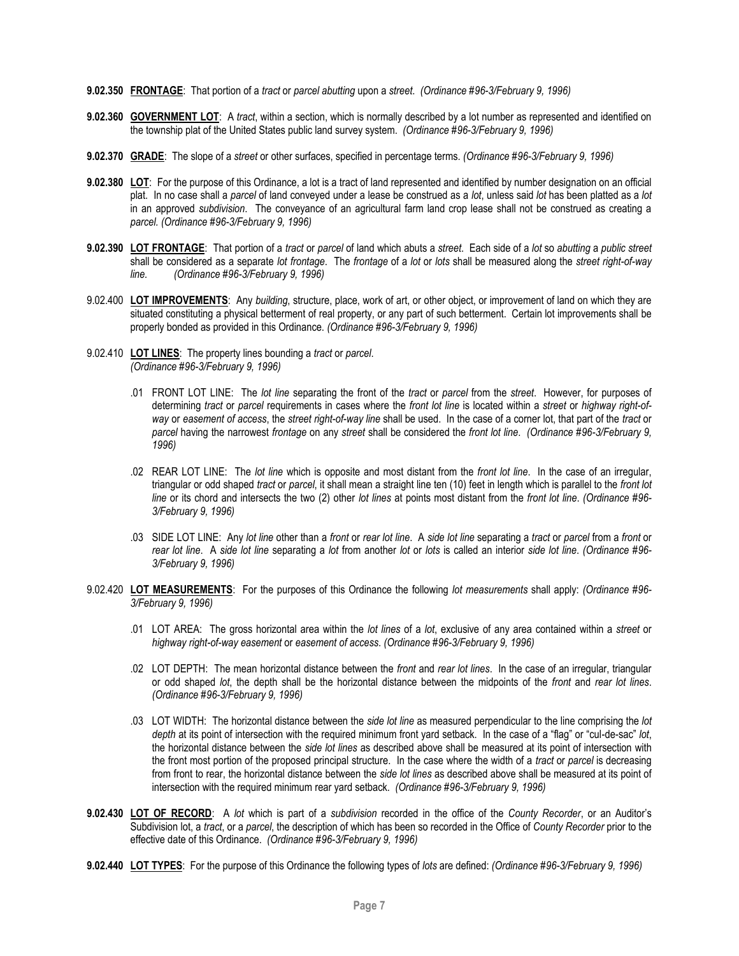- **9.02.350 FRONTAGE**: That portion of a *tract* or *parcel abutting* upon a *street*. *(Ordinance #96-3/February 9, 1996)*
- **9.02.360 GOVERNMENT LOT**: A *tract*, within a section, which is normally described by a lot number as represented and identified on the township plat of the United States public land survey system. *(Ordinance #96-3/February 9, 1996)*
- **9.02.370 GRADE**: The slope of a *street* or other surfaces, specified in percentage terms. *(Ordinance #96-3/February 9, 1996)*
- **9.02.380 LOT**: For the purpose of this Ordinance, a lot is a tract of land represented and identified by number designation on an official plat. In no case shall a *parcel* of land conveyed under a lease be construed as a *lot*, unless said *lot* has been platted as a *lot*  in an approved *subdivision*. The conveyance of an agricultural farm land crop lease shall not be construed as creating a *parcel. (Ordinance #96-3/February 9, 1996)*
- **9.02.390 LOT FRONTAGE**: That portion of a *tract* or *parcel* of land which abuts a *street*. Each side of a *lot* so *abutting* a *public street* shall be considered as a separate *lot frontage*. The *frontage* of a *lot* or *lots* shall be measured along the *street right-of-way line. (Ordinance #96-3/February 9, 1996)*
- 9.02.400 **LOT IMPROVEMENTS**: Any *building*, structure, place, work of art, or other object, or improvement of land on which they are situated constituting a physical betterment of real property, or any part of such betterment. Certain lot improvements shall be properly bonded as provided in this Ordinance. *(Ordinance #96-3/February 9, 1996)*
- 9.02.410 **LOT LINES**: The property lines bounding a *tract* or *parcel*. *(Ordinance #96-3/February 9, 1996)*
	- .01 FRONT LOT LINE: The *lot line* separating the front of the *tract* or *parcel* from the *street*. However, for purposes of determining *tract* or *parcel* requirements in cases where the *front lot line* is located within a *street* or *highway right-ofway* or *easement of access*, the *street right-of-way line* shall be used. In the case of a corner lot, that part of the *tract* or *parcel* having the narrowest *frontage* on any *street* shall be considered the *front lot line*. *(Ordinance #96-3/February 9, 1996)*
	- .02 REAR LOT LINE: The *lot line* which is opposite and most distant from the *front lot line*. In the case of an irregular, triangular or odd shaped *tract* or *parcel*, it shall mean a straight line ten (10) feet in length which is parallel to the *front lot line* or its chord and intersects the two (2) other *lot lines* at points most distant from the *front lot line*. *(Ordinance #96- 3/February 9, 1996)*
	- .03 SIDE LOT LINE: Any *lot line* other than a *front* or *rear lot line*. A *side lot line* separating a *tract* or *parcel* from a *front* or *rear lot line*. A *side lot line* separating a *lot* from another *lot* or *lots* is called an interior *side lot line*. *(Ordinance #96- 3/February 9, 1996)*
- 9.02.420 **LOT MEASUREMENTS**: For the purposes of this Ordinance the following *lot measurements* shall apply: *(Ordinance #96- 3/February 9, 1996)*
	- .01 LOT AREA: The gross horizontal area within the *lot lines* of a *lot*, exclusive of any area contained within a *street* or *highway right-of-way easement* or *easement of access*. *(Ordinance #96-3/February 9, 1996)*
	- .02 LOT DEPTH: The mean horizontal distance between the *front* and *rear lot lines*. In the case of an irregular, triangular or odd shaped *lot*, the depth shall be the horizontal distance between the midpoints of the *front* and *rear lot lines*. *(Ordinance #96-3/February 9, 1996)*
	- .03 LOT WIDTH: The horizontal distance between the *side lot line* as measured perpendicular to the line comprising the *lot depth* at its point of intersection with the required minimum front yard setback. In the case of a "flag" or "cul-de-sac" *lot*, the horizontal distance between the *side lot lines* as described above shall be measured at its point of intersection with the front most portion of the proposed principal structure. In the case where the width of a *tract* or *parcel* is decreasing from front to rear, the horizontal distance between the *side lot lines* as described above shall be measured at its point of intersection with the required minimum rear yard setback. *(Ordinance #96-3/February 9, 1996)*
- **9.02.430 LOT OF RECORD**: A *lot* which is part of a *subdivision* recorded in the office of the *County Recorder*, or an Auditor's Subdivision lot, a *tract*, or a *parcel*, the description of which has been so recorded in the Office of *County Recorder* prior to the effective date of this Ordinance. *(Ordinance #96-3/February 9, 1996)*
- **9.02.440 LOT TYPES**: For the purpose of this Ordinance the following types of *lots* are defined: *(Ordinance #96-3/February 9, 1996)*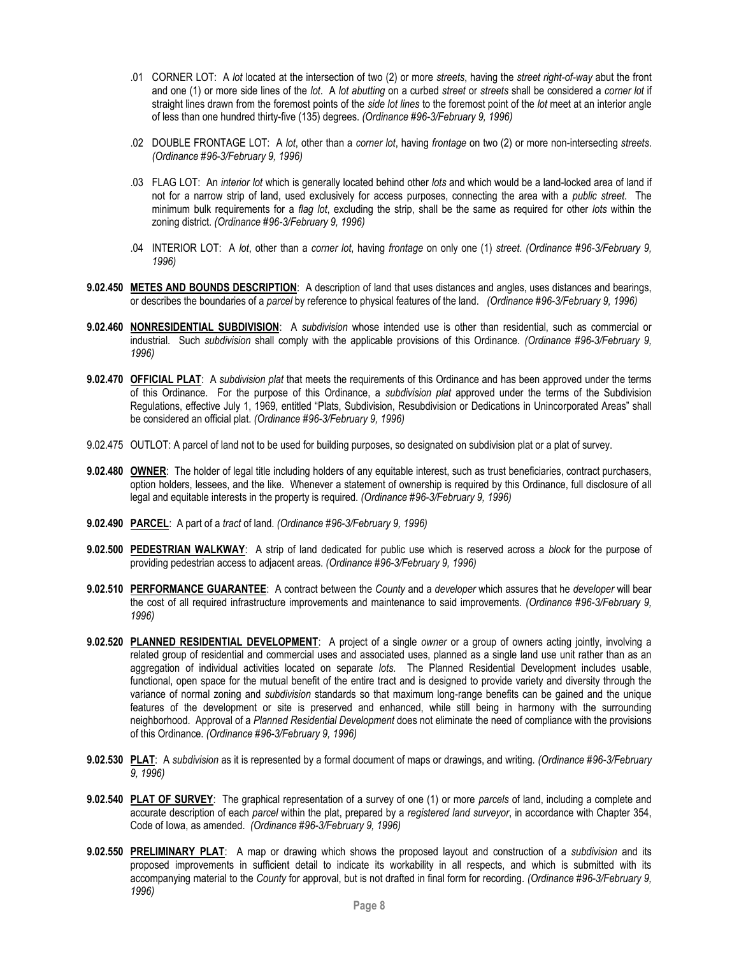- .01 CORNER LOT: A *lot* located at the intersection of two (2) or more *streets*, having the *street right-of-way* abut the front and one (1) or more side lines of the *lot*. A *lot abutting* on a curbed *street* or *streets* shall be considered a *corner lot* if straight lines drawn from the foremost points of the *side lot lines* to the foremost point of the *lot* meet at an interior angle of less than one hundred thirty-five (135) degrees. *(Ordinance #96-3/February 9, 1996)*
- .02 DOUBLE FRONTAGE LOT: A *lot*, other than a *corner lot*, having *frontage* on two (2) or more non-intersecting *streets*. *(Ordinance #96-3/February 9, 1996)*
- .03 FLAG LOT: An *interior lot* which is generally located behind other *lots* and which would be a land-locked area of land if not for a narrow strip of land, used exclusively for access purposes, connecting the area with a *public street*. The minimum bulk requirements for a *flag lot*, excluding the strip, shall be the same as required for other *lots* within the zoning district. *(Ordinance #96-3/February 9, 1996)*
- .04 INTERIOR LOT: A *lot*, other than a *corner lot*, having *frontage* on only one (1) *street*. *(Ordinance #96-3/February 9, 1996)*
- **9.02.450 METES AND BOUNDS DESCRIPTION**: A description of land that uses distances and angles, uses distances and bearings, or describes the boundaries of a *parcel* by reference to physical features of the land. *(Ordinance #96-3/February 9, 1996)*
- **9.02.460 NONRESIDENTIAL SUBDIVISION**: A *subdivision* whose intended use is other than residential, such as commercial or industrial. Such *subdivision* shall comply with the applicable provisions of this Ordinance. *(Ordinance #96-3/February 9, 1996)*
- **9.02.470 OFFICIAL PLAT**: A *subdivision plat* that meets the requirements of this Ordinance and has been approved under the terms of this Ordinance. For the purpose of this Ordinance, a *subdivision plat* approved under the terms of the Subdivision Regulations, effective July 1, 1969, entitled "Plats, Subdivision, Resubdivision or Dedications in Unincorporated Areas" shall be considered an official plat. *(Ordinance #96-3/February 9, 1996)*
- 9.02.475 OUTLOT: A parcel of land not to be used for building purposes, so designated on subdivision plat or a plat of survey.
- **9.02.480 OWNER**: The holder of legal title including holders of any equitable interest, such as trust beneficiaries, contract purchasers, option holders, lessees, and the like. Whenever a statement of ownership is required by this Ordinance, full disclosure of all legal and equitable interests in the property is required. *(Ordinance #96-3/February 9, 1996)*
- **9.02.490 PARCEL**: A part of a *tract* of land. *(Ordinance #96-3/February 9, 1996)*
- **9.02.500 PEDESTRIAN WALKWAY**: A strip of land dedicated for public use which is reserved across a *block* for the purpose of providing pedestrian access to adjacent areas. *(Ordinance #96-3/February 9, 1996)*
- **9.02.510 PERFORMANCE GUARANTEE**: A contract between the *County* and a *developer* which assures that he *developer* will bear the cost of all required infrastructure improvements and maintenance to said improvements. *(Ordinance #96-3/February 9, 1996)*
- **9.02.520 PLANNED RESIDENTIAL DEVELOPMENT**: A project of a single *owner* or a group of owners acting jointly, involving a related group of residential and commercial uses and associated uses, planned as a single land use unit rather than as an aggregation of individual activities located on separate *lots*. The Planned Residential Development includes usable, functional, open space for the mutual benefit of the entire tract and is designed to provide variety and diversity through the variance of normal zoning and *subdivision* standards so that maximum long-range benefits can be gained and the unique features of the development or site is preserved and enhanced, while still being in harmony with the surrounding neighborhood. Approval of a *Planned Residential Development* does not eliminate the need of compliance with the provisions of this Ordinance. *(Ordinance #96-3/February 9, 1996)*
- **9.02.530 PLAT**: A *subdivision* as it is represented by a formal document of maps or drawings, and writing. *(Ordinance #96-3/February 9, 1996)*
- **9.02.540 PLAT OF SURVEY**: The graphical representation of a survey of one (1) or more *parcels* of land, including a complete and accurate description of each *parcel* within the plat, prepared by a *registered land surveyor*, in accordance with Chapter 354, Code of Iowa, as amended. *(Ordinance #96-3/February 9, 1996)*
- **9.02.550 PRELIMINARY PLAT**: A map or drawing which shows the proposed layout and construction of a *subdivision* and its proposed improvements in sufficient detail to indicate its workability in all respects, and which is submitted with its accompanying material to the *County* for approval, but is not drafted in final form for recording. *(Ordinance #96-3/February 9, 1996)*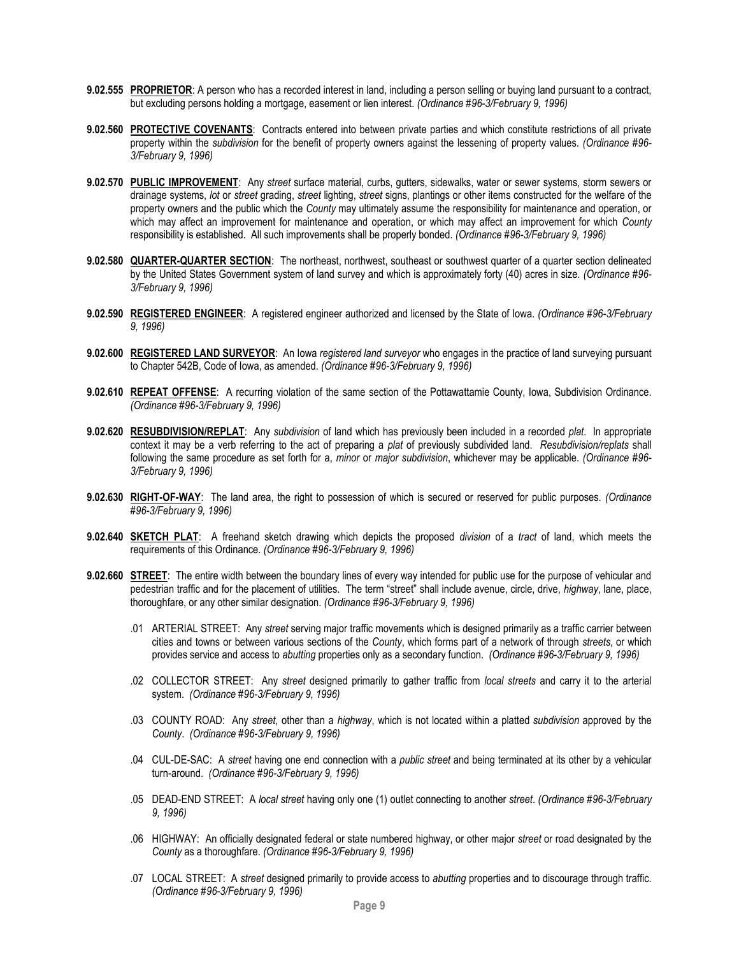- **9.02.555 PROPRIETOR**: A person who has a recorded interest in land, including a person selling or buying land pursuant to a contract, but excluding persons holding a mortgage, easement or lien interest. *(Ordinance #96-3/February 9, 1996)*
- **9.02.560 PROTECTIVE COVENANTS**: Contracts entered into between private parties and which constitute restrictions of all private property within the *subdivision* for the benefit of property owners against the lessening of property values. *(Ordinance #96- 3/February 9, 1996)*
- **9.02.570 PUBLIC IMPROVEMENT**: Any *street* surface material, curbs, gutters, sidewalks, water or sewer systems, storm sewers or drainage systems, *lot* or *street* grading, *street* lighting, *street* signs, plantings or other items constructed for the welfare of the property owners and the public which the *County* may ultimately assume the responsibility for maintenance and operation, or which may affect an improvement for maintenance and operation, or which may affect an improvement for which *County* responsibility is established. All such improvements shall be properly bonded. *(Ordinance #96-3/February 9, 1996)*
- **9.02.580 QUARTER-QUARTER SECTION**: The northeast, northwest, southeast or southwest quarter of a quarter section delineated by the United States Government system of land survey and which is approximately forty (40) acres in size. *(Ordinance #96- 3/February 9, 1996)*
- **9.02.590 REGISTERED ENGINEER**: A registered engineer authorized and licensed by the State of Iowa. *(Ordinance #96-3/February 9, 1996)*
- **9.02.600 REGISTERED LAND SURVEYOR**: An Iowa *registered land surveyor* who engages in the practice of land surveying pursuant to Chapter 542B, Code of Iowa, as amended. *(Ordinance #96-3/February 9, 1996)*
- **9.02.610 REPEAT OFFENSE**: A recurring violation of the same section of the Pottawattamie County, Iowa, Subdivision Ordinance. *(Ordinance #96-3/February 9, 1996)*
- **9.02.620 RESUBDIVISION/REPLAT**: Any *subdivision* of land which has previously been included in a recorded *plat*. In appropriate context it may be a verb referring to the act of preparing a *plat* of previously subdivided land. *Resubdivision/replats* shall following the same procedure as set forth for a, *minor* or *major subdivision*, whichever may be applicable. *(Ordinance #96- 3/February 9, 1996)*
- **9.02.630 RIGHT-OF-WAY**: The land area, the right to possession of which is secured or reserved for public purposes. *(Ordinance #96-3/February 9, 1996)*
- **9.02.640 SKETCH PLAT**: A freehand sketch drawing which depicts the proposed *division* of a *tract* of land, which meets the requirements of this Ordinance. *(Ordinance #96-3/February 9, 1996)*
- **9.02.660 STREET**: The entire width between the boundary lines of every way intended for public use for the purpose of vehicular and pedestrian traffic and for the placement of utilities. The term "street" shall include avenue, circle, drive, *highway*, lane, place, thoroughfare, or any other similar designation. *(Ordinance #96-3/February 9, 1996)*
	- .01 ARTERIAL STREET: Any *street* serving major traffic movements which is designed primarily as a traffic carrier between cities and towns or between various sections of the *County*, which forms part of a network of through *streets*, or which provides service and access to *abutting* properties only as a secondary function. *(Ordinance #96-3/February 9, 1996)*
	- .02 COLLECTOR STREET: Any *street* designed primarily to gather traffic from *local streets* and carry it to the arterial system. *(Ordinance #96-3/February 9, 1996)*
	- .03 COUNTY ROAD: Any *street*, other than a *highway*, which is not located within a platted *subdivision* approved by the *County*. *(Ordinance #96-3/February 9, 1996)*
	- .04 CUL-DE-SAC: A *street* having one end connection with a *public street* and being terminated at its other by a vehicular turn-around. *(Ordinance #96-3/February 9, 1996)*
	- .05 DEAD-END STREET: A *local street* having only one (1) outlet connecting to another *street*. *(Ordinance #96-3/February 9, 1996)*
	- .06 HIGHWAY: An officially designated federal or state numbered highway, or other major *street* or road designated by the *County* as a thoroughfare. *(Ordinance #96-3/February 9, 1996)*
	- .07 LOCAL STREET: A *street* designed primarily to provide access to *abutting* properties and to discourage through traffic. *(Ordinance #96-3/February 9, 1996)*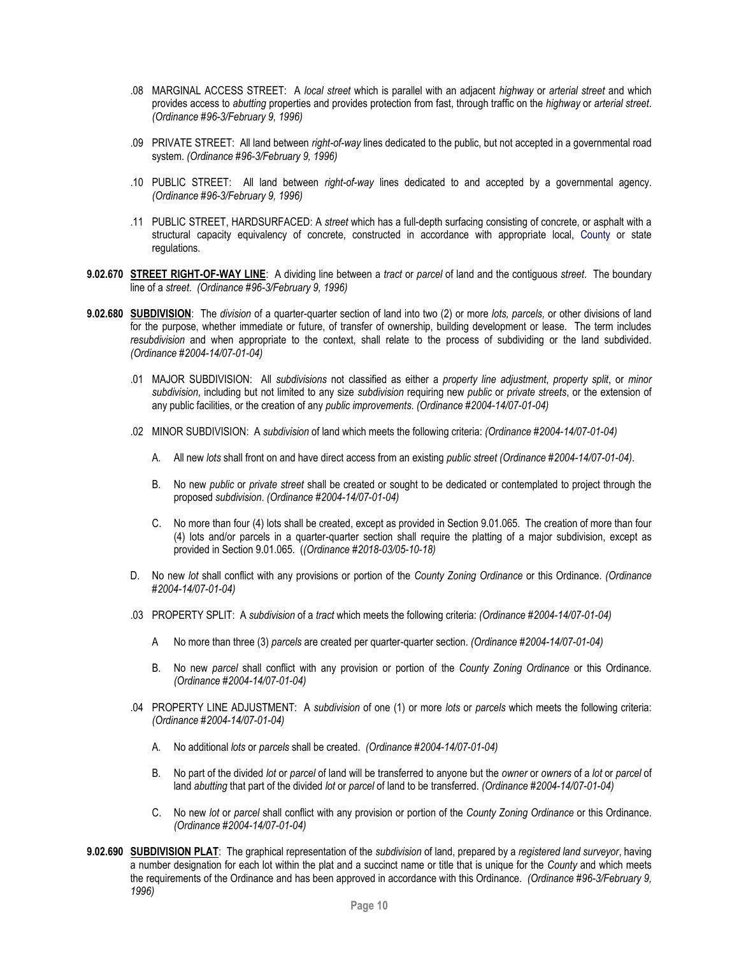- .08 MARGINAL ACCESS STREET: A *local street* which is parallel with an adjacent *highway* or *arterial street* and which provides access to *abutting* properties and provides protection from fast, through traffic on the *highway* or *arterial street*. *(Ordinance #96-3/February 9, 1996)*
- .09 PRIVATE STREET: All land between *right-of-way* lines dedicated to the public, but not accepted in a governmental road system. *(Ordinance #96-3/February 9, 1996)*
- .10 PUBLIC STREET: All land between *right-of-way* lines dedicated to and accepted by a governmental agency. *(Ordinance #96-3/February 9, 1996)*
- .11 PUBLIC STREET, HARDSURFACED: A *street* which has a full-depth surfacing consisting of concrete, or asphalt with a structural capacity equivalency of concrete, constructed in accordance with appropriate local, County or state regulations.
- **9.02.670 STREET RIGHT-OF-WAY LINE**: A dividing line between a *tract* or *parcel* of land and the contiguous *street*. The boundary line of a *street*. *(Ordinance #96-3/February 9, 1996)*
- **9.02.680 SUBDIVISION**: The *division* of a quarter-quarter section of land into two (2) or more *lots, parcels,* or other divisions of land for the purpose, whether immediate or future, of transfer of ownership, building development or lease. The term includes *resubdivision* and when appropriate to the context, shall relate to the process of subdividing or the land subdivided. *(Ordinance #2004-14/07-01-04)*
	- .01 MAJOR SUBDIVISION: All *subdivisions* not classified as either a *property line adjustment*, *property split*, or *minor subdivision*, including but not limited to any size *subdivision* requiring new *public* or *private streets*, or the extension of any public facilities, or the creation of any *public improvements*. *(Ordinance #2004-14/07-01-04)*
	- .02 MINOR SUBDIVISION: A *subdivision* of land which meets the following criteria: *(Ordinance #2004-14/07-01-04)*
		- A. All new *lots* shall front on and have direct access from an existing *public street (Ordinance #2004-14/07-01-04)*.
		- B. No new *public* or *private street* shall be created or sought to be dedicated or contemplated to project through the proposed *subdivision*. *(Ordinance #2004-14/07-01-04)*
		- C. No more than four (4) lots shall be created, except as provided in Section 9.01.065. The creation of more than four (4) lots and/or parcels in a quarter-quarter section shall require the platting of a major subdivision, except as provided in Section 9.01.065. (*(Ordinance #2018-03/05-10-18)*
	- D. No new *lot* shall conflict with any provisions or portion of the *County Zoning Ordinance* or this Ordinance. *(Ordinance #2004-14/07-01-04)*
	- .03 PROPERTY SPLIT: A *subdivision* of a *tract* which meets the following criteria: *(Ordinance #2004-14/07-01-04)*
		- A No more than three (3) *parcels* are created per quarter-quarter section. *(Ordinance #2004-14/07-01-04)*
		- B. No new *parcel* shall conflict with any provision or portion of the *County Zoning Ordinance* or this Ordinance. *(Ordinance #2004-14/07-01-04)*
	- .04 PROPERTY LINE ADJUSTMENT: A *subdivision* of one (1) or more *lots* or *parcels* which meets the following criteria: *(Ordinance #2004-14/07-01-04)*
		- A. No additional *lots* or *parcels* shall be created. *(Ordinance #2004-14/07-01-04)*
		- B. No part of the divided *lot* or *parcel* of land will be transferred to anyone but the *owner* or *owners* of a *lot* or *parcel* of land *abutting* that part of the divided *lot* or *parcel* of land to be transferred. *(Ordinance #2004-14/07-01-04)*
		- C. No new *lot* or *parcel* shall conflict with any provision or portion of the *County Zoning Ordinance* or this Ordinance. *(Ordinance #2004-14/07-01-04)*
- **9.02.690 SUBDIVISION PLAT**: The graphical representation of the *subdivision* of land, prepared by a *registered land surveyor*, having a number designation for each lot within the plat and a succinct name or title that is unique for the *County* and which meets the requirements of the Ordinance and has been approved in accordance with this Ordinance. *(Ordinance #96-3/February 9, 1996)*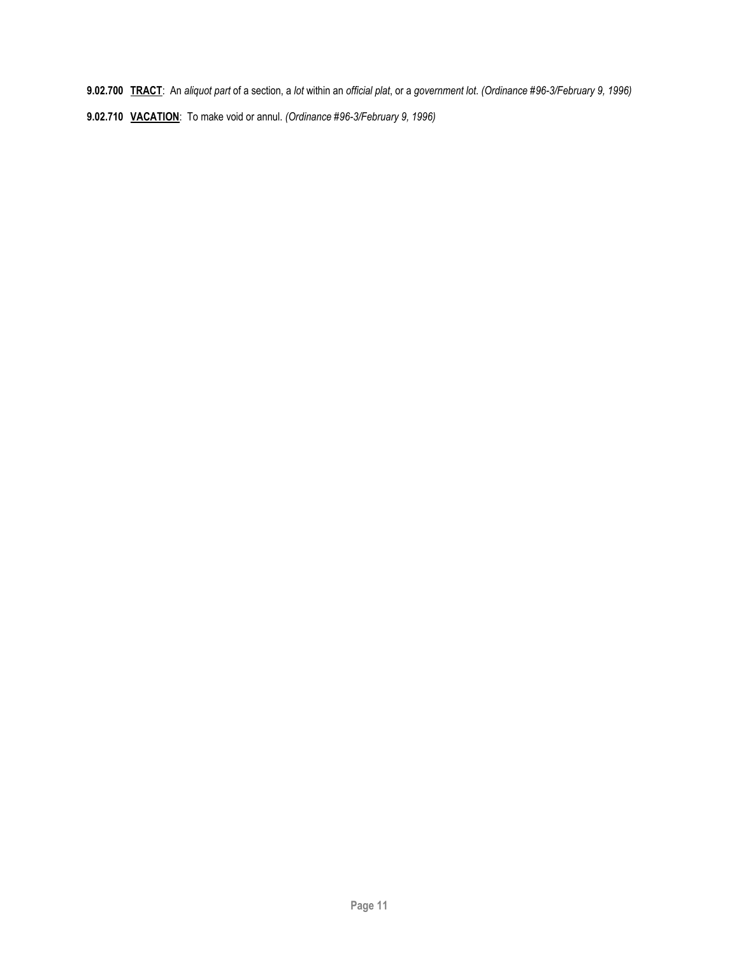- **9.02.700 TRACT**: An *aliquot part* of a section, a *lot* within an *official plat*, or a *government lot*. *(Ordinance #96-3/February 9, 1996)*
- **9.02.710 VACATION**: To make void or annul. *(Ordinance #96-3/February 9, 1996)*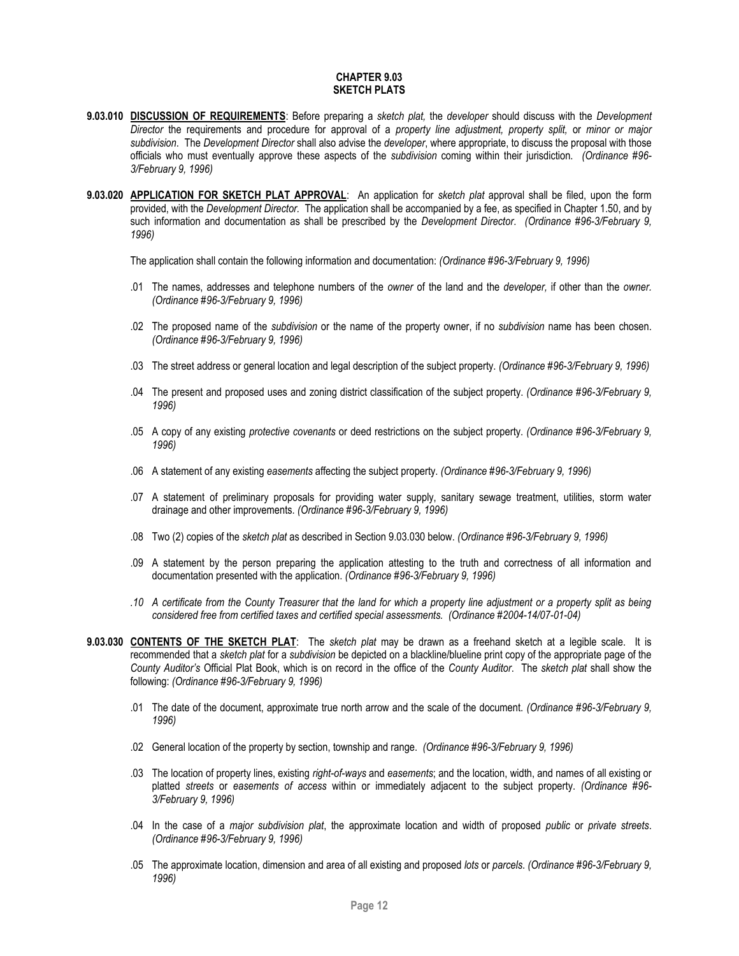#### **CHAPTER 9.03 SKETCH PLATS**

- <span id="page-11-0"></span>**9.03.010 DISCUSSION OF REQUIREMENTS**: Before preparing a *sketch plat,* the *developer* should discuss with the *Development Director* the requirements and procedure for approval of a *property line adjustment, property split,* or *minor or major subdivision*. The *Development Director* shall also advise the *developer*, where appropriate, to discuss the proposal with those officials who must eventually approve these aspects of the *subdivision* coming within their jurisdiction. *(Ordinance #96- 3/February 9, 1996)*
- **9.03.020 APPLICATION FOR SKETCH PLAT APPROVAL**: An application for *sketch plat* approval shall be filed, upon the form provided, with the *Development Director.* The application shall be accompanied by a fee, as specified in Chapter 1.50, and by such information and documentation as shall be prescribed by the *Development Director*. *(Ordinance #96-3/February 9, 1996)*

The application shall contain the following information and documentation: *(Ordinance #96-3/February 9, 1996)*

- .01 The names, addresses and telephone numbers of the *owner* of the land and the *developer,* if other than the *owner. (Ordinance #96-3/February 9, 1996)*
- .02 The proposed name of the *subdivision* or the name of the property owner, if no *subdivision* name has been chosen. *(Ordinance #96-3/February 9, 1996)*
- .03 The street address or general location and legal description of the subject property. *(Ordinance #96-3/February 9, 1996)*
- .04 The present and proposed uses and zoning district classification of the subject property. *(Ordinance #96-3/February 9, 1996)*
- .05 A copy of any existing *protective covenants* or deed restrictions on the subject property. *(Ordinance #96-3/February 9, 1996)*
- .06 A statement of any existing *easements* affecting the subject property. *(Ordinance #96-3/February 9, 1996)*
- .07 A statement of preliminary proposals for providing water supply, sanitary sewage treatment, utilities, storm water drainage and other improvements. *(Ordinance #96-3/February 9, 1996)*
- .08 Two (2) copies of the *sketch plat* as described in Section 9.03.030 below. *(Ordinance #96-3/February 9, 1996)*
- .09 A statement by the person preparing the application attesting to the truth and correctness of all information and documentation presented with the application. *(Ordinance #96-3/February 9, 1996)*
- *.10 A certificate from the County Treasurer that the land for which a property line adjustment or a property split as being considered free from certified taxes and certified special assessments. (Ordinance #2004-14/07-01-04)*
- **9.03.030 CONTENTS OF THE SKETCH PLAT**: The *sketch plat* may be drawn as a freehand sketch at a legible scale. It is recommended that a *sketch plat* for a *subdivision* be depicted on a blackline/blueline print copy of the appropriate page of the *County Auditor's* Official Plat Book, which is on record in the office of the *County Auditor*. The *sketch plat* shall show the following: *(Ordinance #96-3/February 9, 1996)*
	- .01 The date of the document, approximate true north arrow and the scale of the document. *(Ordinance #96-3/February 9, 1996)*
	- .02 General location of the property by section, township and range. *(Ordinance #96-3/February 9, 1996)*
	- .03 The location of property lines, existing *right-of-ways* and *easements*; and the location, width, and names of all existing or platted *streets* or *easements of access* within or immediately adjacent to the subject property. *(Ordinance #96- 3/February 9, 1996)*
	- .04 In the case of a *major subdivision plat*, the approximate location and width of proposed *public* or *private streets*. *(Ordinance #96-3/February 9, 1996)*
	- .05 The approximate location, dimension and area of all existing and proposed *lots* or *parcels*. *(Ordinance #96-3/February 9, 1996)*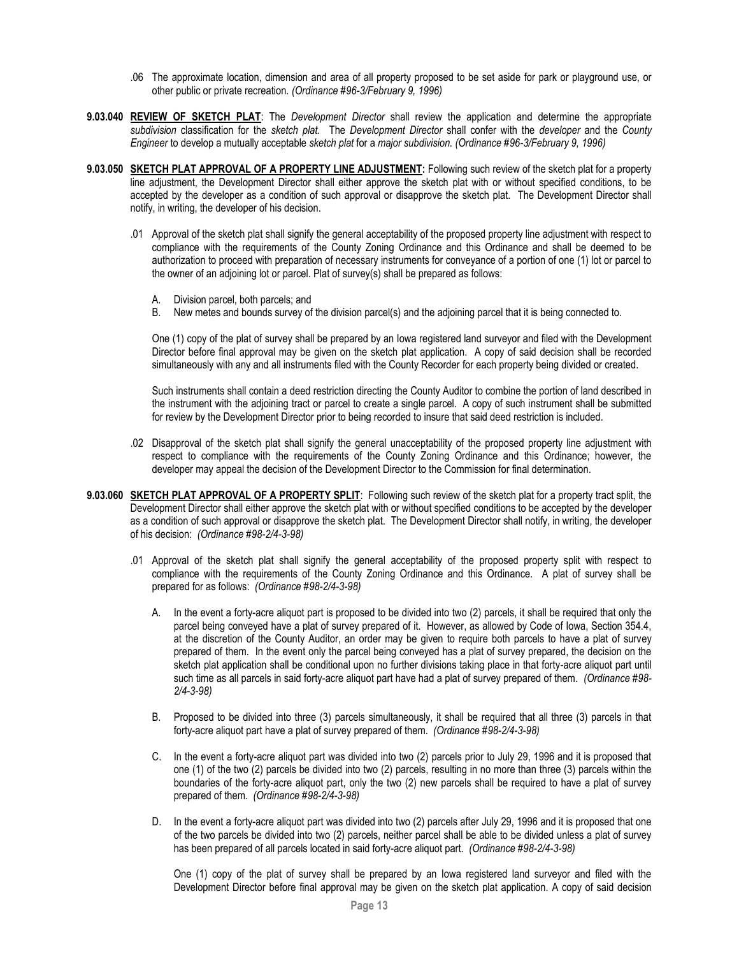- .06 The approximate location, dimension and area of all property proposed to be set aside for park or playground use, or other public or private recreation. *(Ordinance #96-3/February 9, 1996)*
- **9.03.040 REVIEW OF SKETCH PLAT**: The *Development Director* shall review the application and determine the appropriate *subdivision* classification for the *sketch plat.* The *Development Director* shall confer with the *developer* and the *County Engineer* to develop a mutually acceptable *sketch plat* for a *major subdivision. (Ordinance #96-3/February 9, 1996)*
- **9.03.050 SKETCH PLAT APPROVAL OF A PROPERTY LINE ADJUSTMENT:** Following such review of the sketch plat for a property line adjustment, the Development Director shall either approve the sketch plat with or without specified conditions, to be accepted by the developer as a condition of such approval or disapprove the sketch plat. The Development Director shall notify, in writing, the developer of his decision.
	- .01 Approval of the sketch plat shall signify the general acceptability of the proposed property line adjustment with respect to compliance with the requirements of the County Zoning Ordinance and this Ordinance and shall be deemed to be authorization to proceed with preparation of necessary instruments for conveyance of a portion of one (1) lot or parcel to the owner of an adjoining lot or parcel. Plat of survey(s) shall be prepared as follows:
		- A. Division parcel, both parcels; and
		- B. New metes and bounds survey of the division parcel(s) and the adjoining parcel that it is being connected to.

One (1) copy of the plat of survey shall be prepared by an Iowa registered land surveyor and filed with the Development Director before final approval may be given on the sketch plat application. A copy of said decision shall be recorded simultaneously with any and all instruments filed with the County Recorder for each property being divided or created.

Such instruments shall contain a deed restriction directing the County Auditor to combine the portion of land described in the instrument with the adjoining tract or parcel to create a single parcel. A copy of such instrument shall be submitted for review by the Development Director prior to being recorded to insure that said deed restriction is included.

- .02 Disapproval of the sketch plat shall signify the general unacceptability of the proposed property line adjustment with respect to compliance with the requirements of the County Zoning Ordinance and this Ordinance; however, the developer may appeal the decision of the Development Director to the Commission for final determination.
- **9.03.060 SKETCH PLAT APPROVAL OF A PROPERTY SPLIT**: Following such review of the sketch plat for a property tract split, the Development Director shall either approve the sketch plat with or without specified conditions to be accepted by the developer as a condition of such approval or disapprove the sketch plat. The Development Director shall notify, in writing, the developer of his decision: *(Ordinance #98-2/4-3-98)*
	- .01 Approval of the sketch plat shall signify the general acceptability of the proposed property split with respect to compliance with the requirements of the County Zoning Ordinance and this Ordinance. A plat of survey shall be prepared for as follows: *(Ordinance #98-2/4-3-98)*
		- A. In the event a forty-acre aliquot part is proposed to be divided into two (2) parcels, it shall be required that only the parcel being conveyed have a plat of survey prepared of it. However, as allowed by Code of Iowa, Section 354.4, at the discretion of the County Auditor, an order may be given to require both parcels to have a plat of survey prepared of them. In the event only the parcel being conveyed has a plat of survey prepared, the decision on the sketch plat application shall be conditional upon no further divisions taking place in that forty-acre aliquot part until such time as all parcels in said forty-acre aliquot part have had a plat of survey prepared of them. *(Ordinance #98- 2/4-3-98)*
		- B. Proposed to be divided into three (3) parcels simultaneously, it shall be required that all three (3) parcels in that forty-acre aliquot part have a plat of survey prepared of them. *(Ordinance #98-2/4-3-98)*
		- C. In the event a forty-acre aliquot part was divided into two (2) parcels prior to July 29, 1996 and it is proposed that one (1) of the two (2) parcels be divided into two (2) parcels, resulting in no more than three (3) parcels within the boundaries of the forty-acre aliquot part, only the two (2) new parcels shall be required to have a plat of survey prepared of them. *(Ordinance #98-2/4-3-98)*
		- D. In the event a forty-acre aliquot part was divided into two (2) parcels after July 29, 1996 and it is proposed that one of the two parcels be divided into two (2) parcels, neither parcel shall be able to be divided unless a plat of survey has been prepared of all parcels located in said forty-acre aliquot part. *(Ordinance #98-2/4-3-98)*

One (1) copy of the plat of survey shall be prepared by an Iowa registered land surveyor and filed with the Development Director before final approval may be given on the sketch plat application. A copy of said decision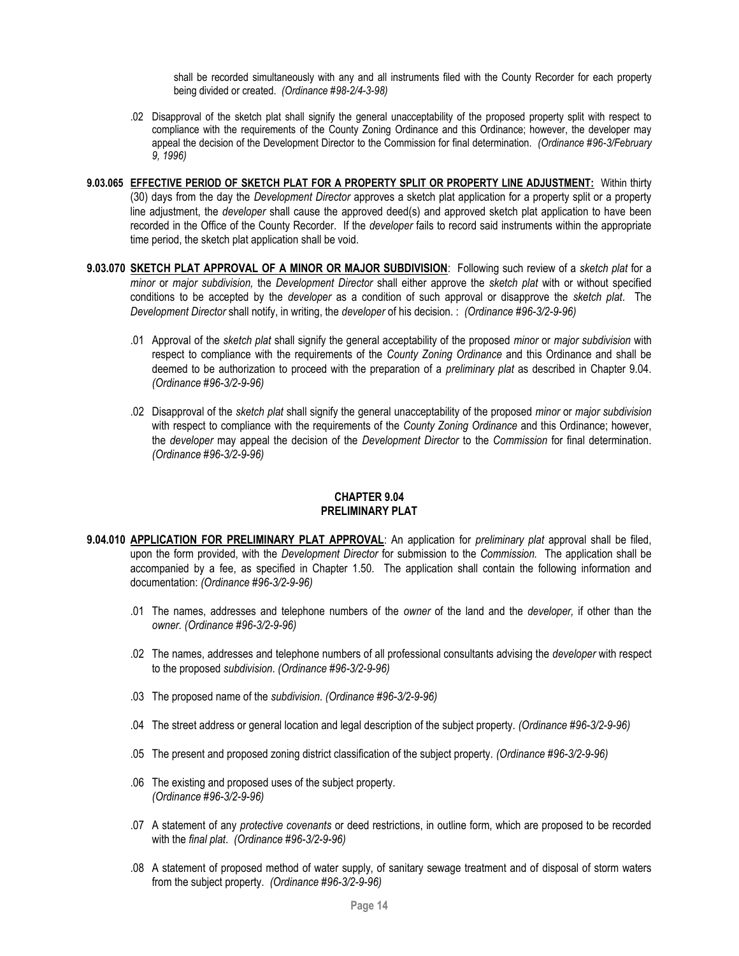shall be recorded simultaneously with any and all instruments filed with the County Recorder for each property being divided or created. *(Ordinance #98-2/4-3-98)*

- .02 Disapproval of the sketch plat shall signify the general unacceptability of the proposed property split with respect to compliance with the requirements of the County Zoning Ordinance and this Ordinance; however, the developer may appeal the decision of the Development Director to the Commission for final determination. *(Ordinance #96-3/February 9, 1996)*
- **9.03.065 EFFECTIVE PERIOD OF SKETCH PLAT FOR A PROPERTY SPLIT OR PROPERTY LINE ADJUSTMENT:** Within thirty (30) days from the day the *Development Director* approves a sketch plat application for a property split or a property line adjustment, the *developer* shall cause the approved deed(s) and approved sketch plat application to have been recorded in the Office of the County Recorder. If the *developer* fails to record said instruments within the appropriate time period, the sketch plat application shall be void.
- **9.03.070 SKETCH PLAT APPROVAL OF A MINOR OR MAJOR SUBDIVISION**: Following such review of a *sketch plat* for a *minor* or *major subdivision,* the *Development Director* shall either approve the *sketch plat* with or without specified conditions to be accepted by the *developer* as a condition of such approval or disapprove the *sketch plat*. The *Development Director* shall notify, in writing, the *developer* of his decision. : *(Ordinance #96-3/2-9-96)*
	- .01 Approval of the *sketch plat* shall signify the general acceptability of the proposed *minor* or *major subdivision* with respect to compliance with the requirements of the *County Zoning Ordinance* and this Ordinance and shall be deemed to be authorization to proceed with the preparation of a *preliminary plat* as described in Chapter 9.04. *(Ordinance #96-3/2-9-96)*
	- .02 Disapproval of the *sketch plat* shall signify the general unacceptability of the proposed *minor* or *major subdivision*  with respect to compliance with the requirements of the *County Zoning Ordinance* and this Ordinance; however, the *developer* may appeal the decision of the *Development Director* to the *Commission* for final determination. *(Ordinance #96-3/2-9-96)*

# **CHAPTER 9.04 PRELIMINARY PLAT**

- <span id="page-13-0"></span>**9.04.010 APPLICATION FOR PRELIMINARY PLAT APPROVAL**: An application for *preliminary plat* approval shall be filed, upon the form provided, with the *Development Director* for submission to the *Commission.* The application shall be accompanied by a fee, as specified in Chapter 1.50. The application shall contain the following information and documentation: *(Ordinance #96-3/2-9-96)*
	- .01 The names, addresses and telephone numbers of the *owner* of the land and the *developer,* if other than the *owner. (Ordinance #96-3/2-9-96)*
	- .02 The names, addresses and telephone numbers of all professional consultants advising the *developer* with respect to the proposed *subdivision*. *(Ordinance #96-3/2-9-96)*
	- .03 The proposed name of the *subdivision*. *(Ordinance #96-3/2-9-96)*
	- .04 The street address or general location and legal description of the subject property. *(Ordinance #96-3/2-9-96)*
	- .05 The present and proposed zoning district classification of the subject property. *(Ordinance #96-3/2-9-96)*
	- .06 The existing and proposed uses of the subject property. *(Ordinance #96-3/2-9-96)*
	- .07 A statement of any *protective covenants* or deed restrictions, in outline form, which are proposed to be recorded with the *final plat*. *(Ordinance #96-3/2-9-96)*
	- .08 A statement of proposed method of water supply, of sanitary sewage treatment and of disposal of storm waters from the subject property. *(Ordinance #96-3/2-9-96)*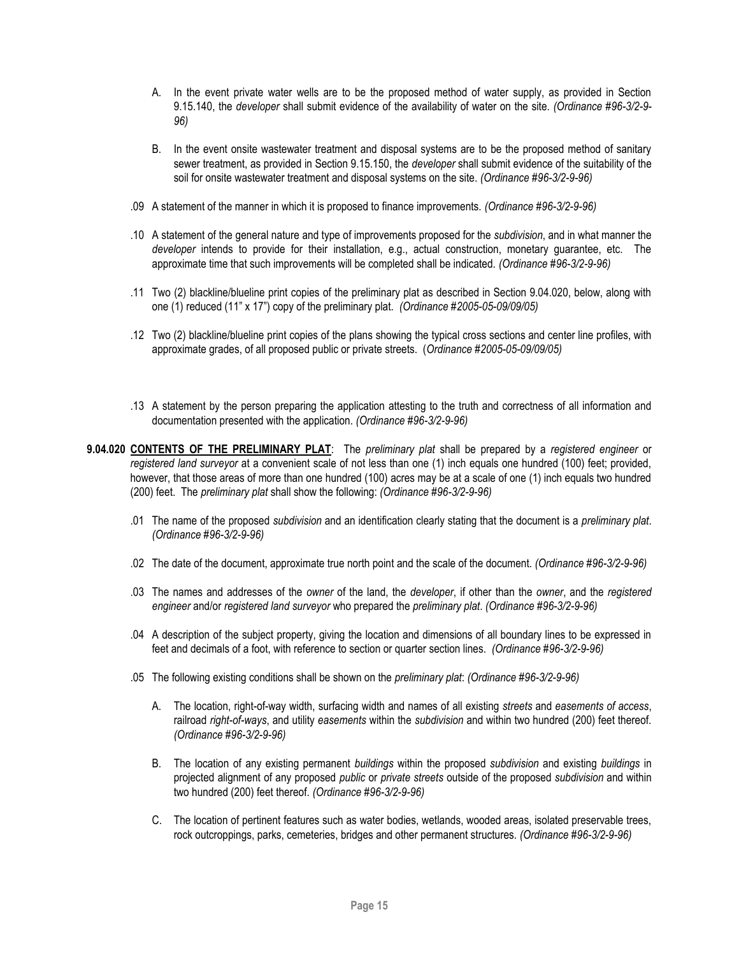- A. In the event private water wells are to be the proposed method of water supply, as provided in Section 9.15.140, the *developer* shall submit evidence of the availability of water on the site. *(Ordinance #96-3/2-9- 96)*
- B. In the event onsite wastewater treatment and disposal systems are to be the proposed method of sanitary sewer treatment, as provided in Section 9.15.150, the *developer* shall submit evidence of the suitability of the soil for onsite wastewater treatment and disposal systems on the site. *(Ordinance #96-3/2-9-96)*
- .09 A statement of the manner in which it is proposed to finance improvements. *(Ordinance #96-3/2-9-96)*
- .10 A statement of the general nature and type of improvements proposed for the *subdivision*, and in what manner the *developer* intends to provide for their installation, e.g., actual construction, monetary guarantee, etc. The approximate time that such improvements will be completed shall be indicated. *(Ordinance #96-3/2-9-96)*
- .11 Two (2) blackline/blueline print copies of the preliminary plat as described in Section 9.04.020, below, along with one (1) reduced (11" x 17") copy of the preliminary plat. *(Ordinance #2005-05-09/09/05)*
- .12 Two (2) blackline/blueline print copies of the plans showing the typical cross sections and center line profiles, with approximate grades, of all proposed public or private streets. (*Ordinance #2005-05-09/09/05)*
- .13 A statement by the person preparing the application attesting to the truth and correctness of all information and documentation presented with the application. *(Ordinance #96-3/2-9-96)*
- **9.04.020 CONTENTS OF THE PRELIMINARY PLAT**: The *preliminary plat* shall be prepared by a *registered engineer* or *registered land surveyor* at a convenient scale of not less than one (1) inch equals one hundred (100) feet; provided, however, that those areas of more than one hundred (100) acres may be at a scale of one (1) inch equals two hundred (200) feet. The *preliminary plat* shall show the following: *(Ordinance #96-3/2-9-96)*
	- .01 The name of the proposed *subdivision* and an identification clearly stating that the document is a *preliminary plat*. *(Ordinance #96-3/2-9-96)*
	- .02 The date of the document, approximate true north point and the scale of the document. *(Ordinance #96-3/2-9-96)*
	- .03 The names and addresses of the *owner* of the land, the *developer*, if other than the *owner*, and the *registered engineer* and/or *registered land surveyor* who prepared the *preliminary plat*. *(Ordinance #96-3/2-9-96)*
	- .04 A description of the subject property, giving the location and dimensions of all boundary lines to be expressed in feet and decimals of a foot, with reference to section or quarter section lines. *(Ordinance #96-3/2-9-96)*
	- .05 The following existing conditions shall be shown on the *preliminary plat*: *(Ordinance #96-3/2-9-96)*
		- A. The location, right-of-way width, surfacing width and names of all existing *streets* and *easements of access*, railroad *right-of-ways*, and utility *easements* within the *subdivision* and within two hundred (200) feet thereof. *(Ordinance #96-3/2-9-96)*
		- B. The location of any existing permanent *buildings* within the proposed *subdivision* and existing *buildings* in projected alignment of any proposed *public* or *private streets* outside of the proposed *subdivision* and within two hundred (200) feet thereof. *(Ordinance #96-3/2-9-96)*
		- C. The location of pertinent features such as water bodies, wetlands, wooded areas, isolated preservable trees, rock outcroppings, parks, cemeteries, bridges and other permanent structures. *(Ordinance #96-3/2-9-96)*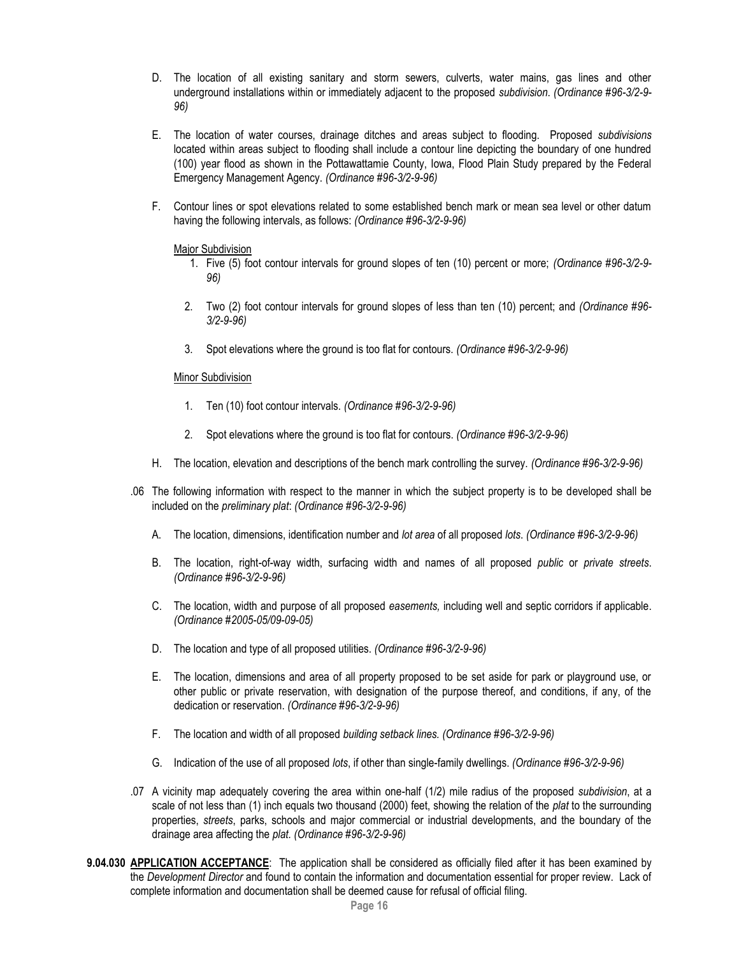- D. The location of all existing sanitary and storm sewers, culverts, water mains, gas lines and other underground installations within or immediately adjacent to the proposed *subdivision*. *(Ordinance #96-3/2-9- 96)*
- E. The location of water courses, drainage ditches and areas subject to flooding. Proposed *subdivisions*  located within areas subject to flooding shall include a contour line depicting the boundary of one hundred (100) year flood as shown in the Pottawattamie County, Iowa, Flood Plain Study prepared by the Federal Emergency Management Agency. *(Ordinance #96-3/2-9-96)*
- F. Contour lines or spot elevations related to some established bench mark or mean sea level or other datum having the following intervals, as follows: *(Ordinance #96-3/2-9-96)*

### Major Subdivision

- 1. Five (5) foot contour intervals for ground slopes of ten (10) percent or more; *(Ordinance #96-3/2-9- 96)*
- 2. Two (2) foot contour intervals for ground slopes of less than ten (10) percent; and *(Ordinance #96- 3/2-9-96)*
- 3. Spot elevations where the ground is too flat for contours. *(Ordinance #96-3/2-9-96)*

### Minor Subdivision

- 1. Ten (10) foot contour intervals. *(Ordinance #96-3/2-9-96)*
- 2. Spot elevations where the ground is too flat for contours. *(Ordinance #96-3/2-9-96)*
- H. The location, elevation and descriptions of the bench mark controlling the survey. *(Ordinance #96-3/2-9-96)*
- .06 The following information with respect to the manner in which the subject property is to be developed shall be included on the *preliminary plat*: *(Ordinance #96-3/2-9-96)*
	- A. The location, dimensions, identification number and *lot area* of all proposed *lots*. *(Ordinance #96-3/2-9-96)*
	- B. The location, right-of-way width, surfacing width and names of all proposed *public* or *private streets*. *(Ordinance #96-3/2-9-96)*
	- C. The location, width and purpose of all proposed *easements,* including well and septic corridors if applicable. *(Ordinance #2005-05/09-09-05)*
	- D. The location and type of all proposed utilities. *(Ordinance #96-3/2-9-96)*
	- E. The location, dimensions and area of all property proposed to be set aside for park or playground use, or other public or private reservation, with designation of the purpose thereof, and conditions, if any, of the dedication or reservation. *(Ordinance #96-3/2-9-96)*
	- F. The location and width of all proposed *building setback lines. (Ordinance #96-3/2-9-96)*
	- G. Indication of the use of all proposed *lots*, if other than single-family dwellings. *(Ordinance #96-3/2-9-96)*
- .07 A vicinity map adequately covering the area within one-half (1/2) mile radius of the proposed *subdivision*, at a scale of not less than (1) inch equals two thousand (2000) feet, showing the relation of the *plat* to the surrounding properties, *streets*, parks, schools and major commercial or industrial developments, and the boundary of the drainage area affecting the *plat. (Ordinance #96-3/2-9-96)*
- **9.04.030 APPLICATION ACCEPTANCE**: The application shall be considered as officially filed after it has been examined by the *Development Director* and found to contain the information and documentation essential for proper review. Lack of complete information and documentation shall be deemed cause for refusal of official filing.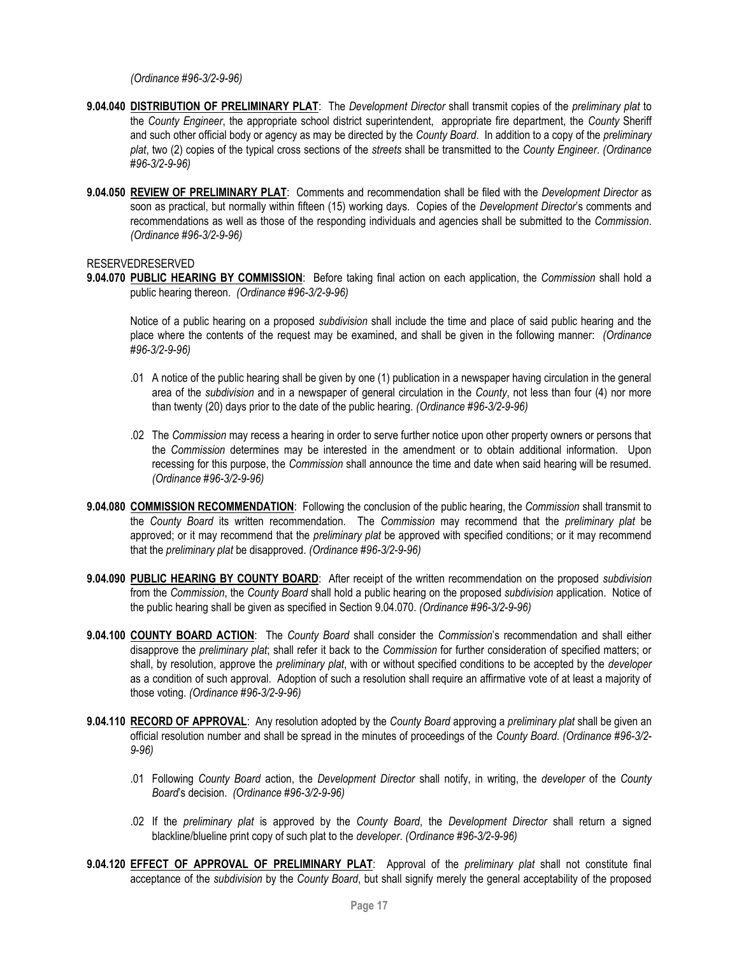*(Ordinance #96-3/2-9-96)*

- **9.04.040 DISTRIBUTION OF PRELIMINARY PLAT**: The *Development Director* shall transmit copies of the *preliminary plat* to the *County Engineer*, the appropriate school district superintendent, appropriate fire department, the *County* Sheriff and such other official body or agency as may be directed by the *County Board*. In addition to a copy of the *preliminary plat*, two (2) copies of the typical cross sections of the *streets* shall be transmitted to the *County Engineer*. *(Ordinance #96-3/2-9-96)*
- **9.04.050 REVIEW OF PRELIMINARY PLAT**: Comments and recommendation shall be filed with the *Development Director* as soon as practical, but normally within fifteen (15) working days. Copies of the *Development Director*'s comments and recommendations as well as those of the responding individuals and agencies shall be submitted to the *Commission*. *(Ordinance #96-3/2-9-96)*

# RESERVEDRESERVED

**9.04.070 PUBLIC HEARING BY COMMISSION**: Before taking final action on each application, the *Commission* shall hold a public hearing thereon. *(Ordinance #96-3/2-9-96)*

Notice of a public hearing on a proposed *subdivision* shall include the time and place of said public hearing and the place where the contents of the request may be examined, and shall be given in the following manner: *(Ordinance #96-3/2-9-96)*

- .01 A notice of the public hearing shall be given by one (1) publication in a newspaper having circulation in the general area of the *subdivision* and in a newspaper of general circulation in the *County*, not less than four (4) nor more than twenty (20) days prior to the date of the public hearing. *(Ordinance #96-3/2-9-96)*
- .02 The *Commission* may recess a hearing in order to serve further notice upon other property owners or persons that the *Commission* determines may be interested in the amendment or to obtain additional information. Upon recessing for this purpose, the *Commission* shall announce the time and date when said hearing will be resumed. *(Ordinance #96-3/2-9-96)*
- **9.04.080 COMMISSION RECOMMENDATION**: Following the conclusion of the public hearing, the *Commission* shall transmit to the *County Board* its written recommendation. The *Commission* may recommend that the *preliminary plat* be approved; or it may recommend that the *preliminary plat* be approved with specified conditions; or it may recommend that the *preliminary plat* be disapproved. *(Ordinance #96-3/2-9-96)*
- **9.04.090 PUBLIC HEARING BY COUNTY BOARD**: After receipt of the written recommendation on the proposed *subdivision*  from the *Commission*, the *County Board* shall hold a public hearing on the proposed *subdivision* application. Notice of the public hearing shall be given as specified in Section 9.04.070. *(Ordinance #96-3/2-9-96)*
- **9.04.100 COUNTY BOARD ACTION**: The *County Board* shall consider the *Commission*'s recommendation and shall either disapprove the *preliminary plat*; shall refer it back to the *Commission* for further consideration of specified matters; or shall, by resolution, approve the *preliminary plat*, with or without specified conditions to be accepted by the *developer* as a condition of such approval. Adoption of such a resolution shall require an affirmative vote of at least a majority of those voting. *(Ordinance #96-3/2-9-96)*
- **9.04.110 RECORD OF APPROVAL**: Any resolution adopted by the *County Board* approving a *preliminary plat* shall be given an official resolution number and shall be spread in the minutes of proceedings of the *County Board*. *(Ordinance #96-3/2- 9-96)*
	- .01 Following *County Board* action, the *Development Director* shall notify, in writing, the *developer* of the *County Board*'s decision. *(Ordinance #96-3/2-9-96)*
	- .02 If the *preliminary plat* is approved by the *County Board*, the *Development Director* shall return a signed blackline/blueline print copy of such plat to the *developer*. *(Ordinance #96-3/2-9-96)*
- **9.04.120 EFFECT OF APPROVAL OF PRELIMINARY PLAT**: Approval of the *preliminary plat* shall not constitute final acceptance of the *subdivision* by the *County Board*, but shall signify merely the general acceptability of the proposed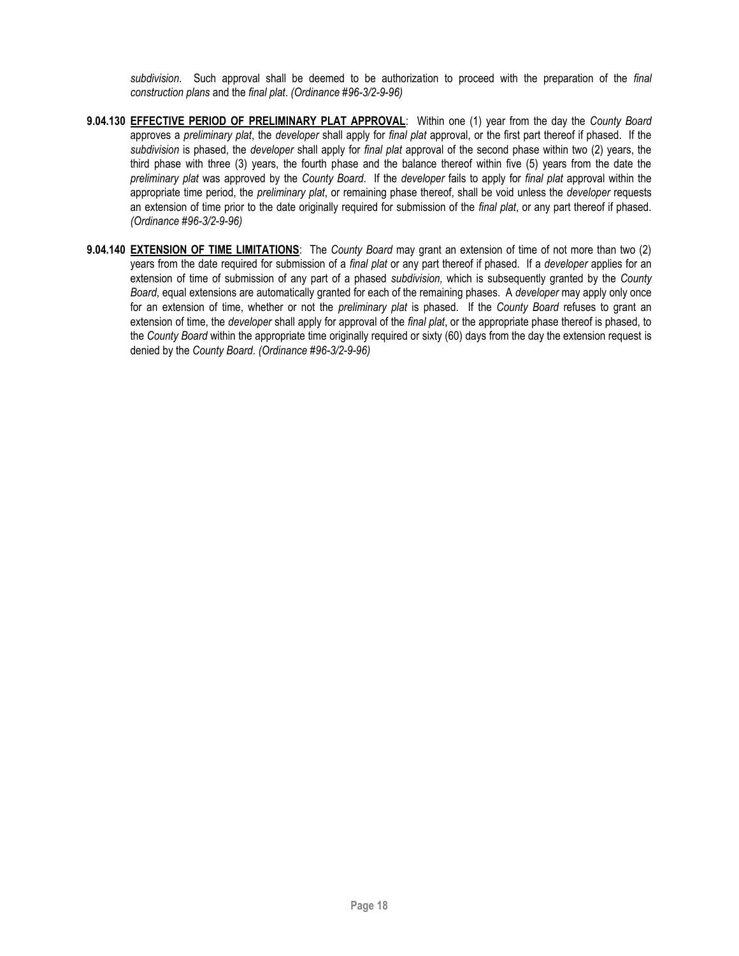*subdivision*. Such approval shall be deemed to be authorization to proceed with the preparation of the *final construction plans* and the *final plat*. *(Ordinance #96-3/2-9-96)*

- **9.04.130 EFFECTIVE PERIOD OF PRELIMINARY PLAT APPROVAL**: Within one (1) year from the day the *County Board* approves a *preliminary plat*, the *developer* shall apply for *final plat* approval, or the first part thereof if phased. If the *subdivision* is phased, the *developer* shall apply for *final plat* approval of the second phase within two (2) years, the third phase with three (3) years, the fourth phase and the balance thereof within five (5) years from the date the *preliminary plat* was approved by the *County Board*. If the *developer* fails to apply for *final plat* approval within the appropriate time period, the *preliminary plat*, or remaining phase thereof, shall be void unless the *developer* requests an extension of time prior to the date originally required for submission of the *final plat*, or any part thereof if phased. *(Ordinance #96-3/2-9-96)*
- **9.04.140 EXTENSION OF TIME LIMITATIONS**: The *County Board* may grant an extension of time of not more than two (2) years from the date required for submission of a *final plat* or any part thereof if phased. If a *developer* applies for an extension of time of submission of any part of a phased *subdivision,* which is subsequently granted by the *County Board*, equal extensions are automatically granted for each of the remaining phases. A *developer* may apply only once for an extension of time, whether or not the *preliminary plat* is phased. If the *County Board* refuses to grant an extension of time, the *developer* shall apply for approval of the *final plat*, or the appropriate phase thereof is phased, to the *County Board* within the appropriate time originally required or sixty (60) days from the day the extension request is denied by the *County Board*. *(Ordinance #96-3/2-9-96)*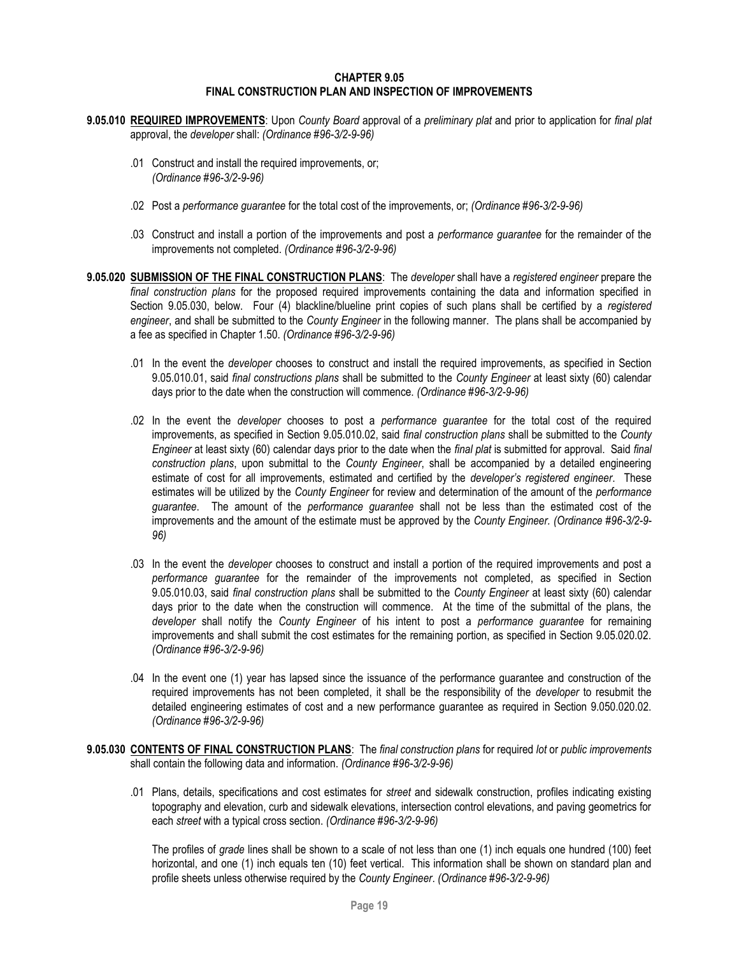#### **CHAPTER 9.05 FINAL CONSTRUCTION PLAN AND INSPECTION OF IMPROVEMENTS**

- <span id="page-18-0"></span>**9.05.010 REQUIRED IMPROVEMENTS**: Upon *County Board* approval of a *preliminary plat* and prior to application for *final plat*  approval, the *developer* shall: *(Ordinance #96-3/2-9-96)*
	- .01 Construct and install the required improvements, or; *(Ordinance #96-3/2-9-96)*
	- .02 Post a *performance guarantee* for the total cost of the improvements, or; *(Ordinance #96-3/2-9-96)*
	- .03 Construct and install a portion of the improvements and post a *performance guarantee* for the remainder of the improvements not completed. *(Ordinance #96-3/2-9-96)*
- **9.05.020 SUBMISSION OF THE FINAL CONSTRUCTION PLANS**: The *developer* shall have a *registered engineer* prepare the *final construction plans* for the proposed required improvements containing the data and information specified in Section 9.05.030, below. Four (4) blackline/blueline print copies of such plans shall be certified by a *registered engineer*, and shall be submitted to the *County Engineer* in the following manner. The plans shall be accompanied by a fee as specified in Chapter 1.50. *(Ordinance #96-3/2-9-96)*
	- .01 In the event the *developer* chooses to construct and install the required improvements, as specified in Section 9.05.010.01, said *final constructions plans* shall be submitted to the *County Engineer* at least sixty (60) calendar days prior to the date when the construction will commence. *(Ordinance #96-3/2-9-96)*
	- .02 In the event the *developer* chooses to post a *performance guarantee* for the total cost of the required improvements, as specified in Section 9.05.010.02, said *final construction plans* shall be submitted to the *County Engineer* at least sixty (60) calendar days prior to the date when the *final plat* is submitted for approval. Said *final construction plans*, upon submittal to the *County Engineer*, shall be accompanied by a detailed engineering estimate of cost for all improvements, estimated and certified by the *developer's registered engineer*. These estimates will be utilized by the *County Engineer* for review and determination of the amount of the *performance guarantee*. The amount of the *performance guarantee* shall not be less than the estimated cost of the improvements and the amount of the estimate must be approved by the *County Engineer. (Ordinance #96-3/2-9- 96)*
	- .03 In the event the *developer* chooses to construct and install a portion of the required improvements and post a *performance guarantee* for the remainder of the improvements not completed, as specified in Section 9.05.010.03, said *final construction plans* shall be submitted to the *County Engineer* at least sixty (60) calendar days prior to the date when the construction will commence. At the time of the submittal of the plans, the *developer* shall notify the *County Engineer* of his intent to post a *performance guarantee* for remaining improvements and shall submit the cost estimates for the remaining portion, as specified in Section 9.05.020.02. *(Ordinance #96-3/2-9-96)*
	- .04 In the event one (1) year has lapsed since the issuance of the performance guarantee and construction of the required improvements has not been completed, it shall be the responsibility of the *developer* to resubmit the detailed engineering estimates of cost and a new performance guarantee as required in Section 9.050.020.02. *(Ordinance #96-3/2-9-96)*
- **9.05.030 CONTENTS OF FINAL CONSTRUCTION PLANS**: The *final construction plans* for required *lot* or *public improvements*  shall contain the following data and information. *(Ordinance #96-3/2-9-96)*
	- .01 Plans, details, specifications and cost estimates for *street* and sidewalk construction, profiles indicating existing topography and elevation, curb and sidewalk elevations, intersection control elevations, and paving geometrics for each *street* with a typical cross section. *(Ordinance #96-3/2-9-96)*

The profiles of *grade* lines shall be shown to a scale of not less than one (1) inch equals one hundred (100) feet horizontal, and one (1) inch equals ten (10) feet vertical. This information shall be shown on standard plan and profile sheets unless otherwise required by the *County Engineer*. *(Ordinance #96-3/2-9-96)*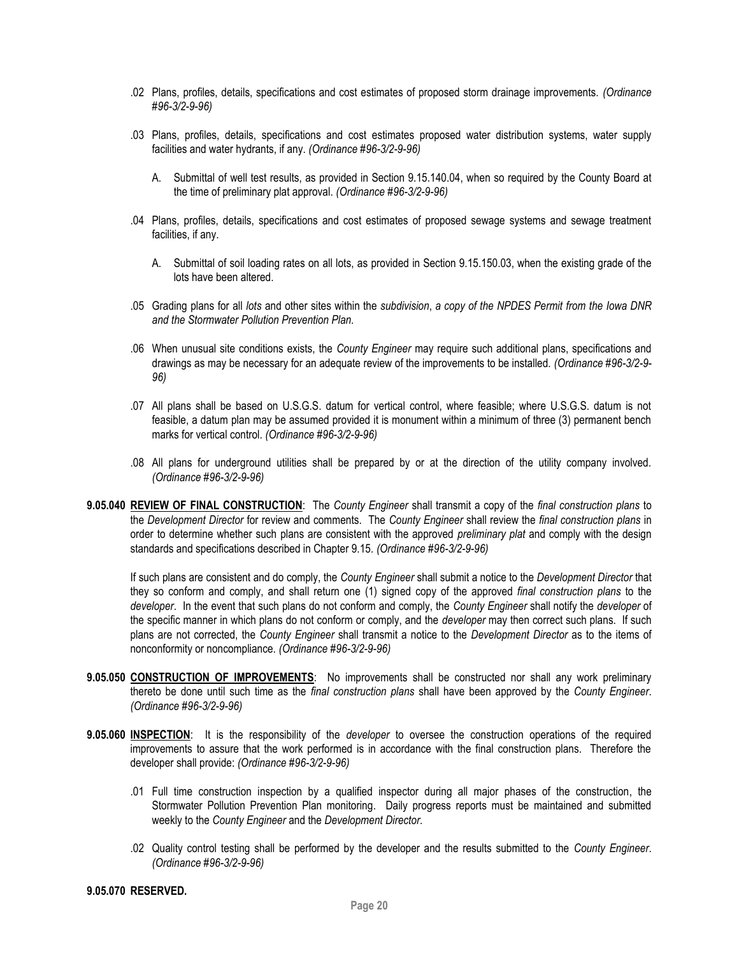- .02 Plans, profiles, details, specifications and cost estimates of proposed storm drainage improvements. *(Ordinance #96-3/2-9-96)*
- .03 Plans, profiles, details, specifications and cost estimates proposed water distribution systems, water supply facilities and water hydrants, if any. *(Ordinance #96-3/2-9-96)*
	- A. Submittal of well test results, as provided in Section 9.15.140.04, when so required by the County Board at the time of preliminary plat approval. *(Ordinance #96-3/2-9-96)*
- .04 Plans, profiles, details, specifications and cost estimates of proposed sewage systems and sewage treatment facilities, if any.
	- A. Submittal of soil loading rates on all lots, as provided in Section 9.15.150.03, when the existing grade of the lots have been altered.
- .05 Grading plans for all *lots* and other sites within the *subdivision*, *a copy of the NPDES Permit from the Iowa DNR and the Stormwater Pollution Prevention Plan.*
- .06 When unusual site conditions exists, the *County Engineer* may require such additional plans, specifications and drawings as may be necessary for an adequate review of the improvements to be installed. *(Ordinance #96-3/2-9- 96)*
- .07 All plans shall be based on U.S.G.S. datum for vertical control, where feasible; where U.S.G.S. datum is not feasible, a datum plan may be assumed provided it is monument within a minimum of three (3) permanent bench marks for vertical control. *(Ordinance #96-3/2-9-96)*
- .08 All plans for underground utilities shall be prepared by or at the direction of the utility company involved. *(Ordinance #96-3/2-9-96)*
- **9.05.040 REVIEW OF FINAL CONSTRUCTION**: The *County Engineer* shall transmit a copy of the *final construction plans* to the *Development Director* for review and comments. The *County Engineer* shall review the *final construction plans* in order to determine whether such plans are consistent with the approved *preliminary plat* and comply with the design standards and specifications described in Chapter 9.15*. (Ordinance #96-3/2-9-96)*

If such plans are consistent and do comply, the *County Engineer* shall submit a notice to the *Development Director* that they so conform and comply, and shall return one (1) signed copy of the approved *final construction plans* to the *developer*. In the event that such plans do not conform and comply, the *County Engineer* shall notify the *developer* of the specific manner in which plans do not conform or comply, and the *developer* may then correct such plans. If such plans are not corrected, the *County Engineer* shall transmit a notice to the *Development Director* as to the items of nonconformity or noncompliance. *(Ordinance #96-3/2-9-96)*

- **9.05.050 CONSTRUCTION OF IMPROVEMENTS**: No improvements shall be constructed nor shall any work preliminary thereto be done until such time as the *final construction plans* shall have been approved by the *County Engineer*. *(Ordinance #96-3/2-9-96)*
- **9.05.060 INSPECTION**: It is the responsibility of the *developer* to oversee the construction operations of the required improvements to assure that the work performed is in accordance with the final construction plans. Therefore the developer shall provide: *(Ordinance #96-3/2-9-96)*
	- .01 Full time construction inspection by a qualified inspector during all major phases of the construction, the Stormwater Pollution Prevention Plan monitoring. Daily progress reports must be maintained and submitted weekly to the *County Engineer* and the *Development Director.*
	- .02 Quality control testing shall be performed by the developer and the results submitted to the *County Engineer*. *(Ordinance #96-3/2-9-96)*

### **9.05.070 RESERVED.**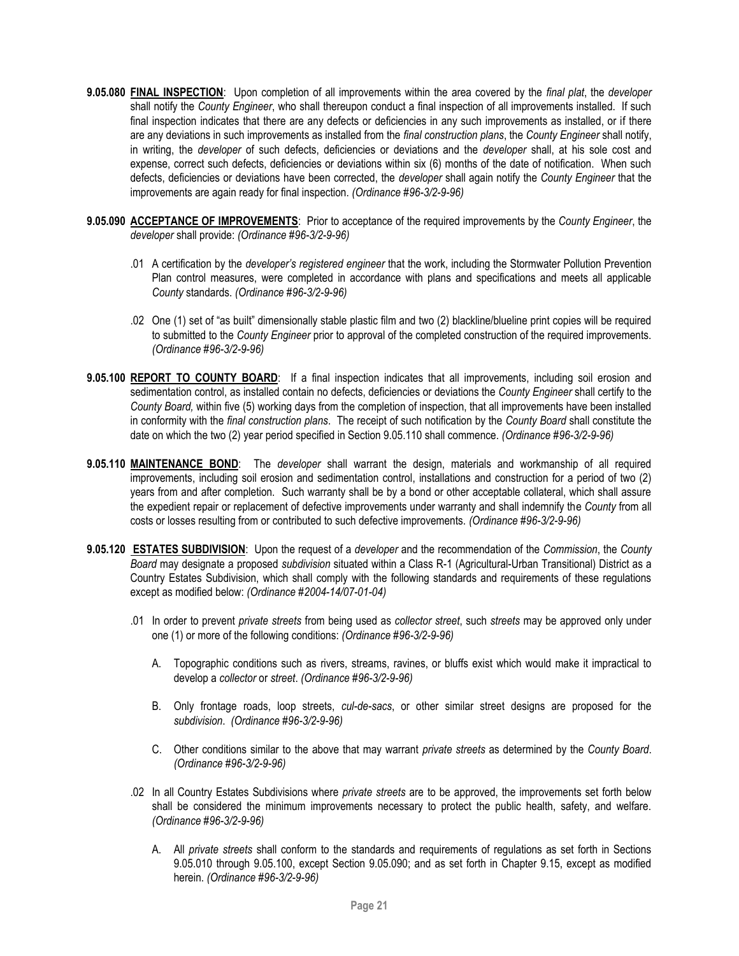- **9.05.080 FINAL INSPECTION**: Upon completion of all improvements within the area covered by the *final plat*, the *developer*  shall notify the *County Engineer*, who shall thereupon conduct a final inspection of all improvements installed. If such final inspection indicates that there are any defects or deficiencies in any such improvements as installed, or if there are any deviations in such improvements as installed from the *final construction plans*, the *County Engineer* shall notify, in writing, the *developer* of such defects, deficiencies or deviations and the *developer* shall, at his sole cost and expense, correct such defects, deficiencies or deviations within six (6) months of the date of notification. When such defects, deficiencies or deviations have been corrected, the *developer* shall again notify the *County Engineer* that the improvements are again ready for final inspection. *(Ordinance #96-3/2-9-96)*
- **9.05.090 ACCEPTANCE OF IMPROVEMENTS**: Prior to acceptance of the required improvements by the *County Engineer*, the *developer* shall provide: *(Ordinance #96-3/2-9-96)*
	- .01 A certification by the *developer's registered engineer* that the work, including the Stormwater Pollution Prevention Plan control measures, were completed in accordance with plans and specifications and meets all applicable *County* standards. *(Ordinance #96-3/2-9-96)*
	- .02 One (1) set of "as built" dimensionally stable plastic film and two (2) blackline/blueline print copies will be required to submitted to the *County Engineer* prior to approval of the completed construction of the required improvements. *(Ordinance #96-3/2-9-96)*
- **9.05.100 REPORT TO COUNTY BOARD**: If a final inspection indicates that all improvements, including soil erosion and sedimentation control, as installed contain no defects, deficiencies or deviations the *County Engineer* shall certify to the *County Board,* within five (5) working days from the completion of inspection, that all improvements have been installed in conformity with the *final construction plans*. The receipt of such notification by the *County Board* shall constitute the date on which the two (2) year period specified in Section 9.05.110 shall commence. *(Ordinance #96-3/2-9-96)*
- **9.05.110 MAINTENANCE BOND**: The *developer* shall warrant the design, materials and workmanship of all required improvements, including soil erosion and sedimentation control, installations and construction for a period of two (2) years from and after completion. Such warranty shall be by a bond or other acceptable collateral, which shall assure the expedient repair or replacement of defective improvements under warranty and shall indemnify the *County* from all costs or losses resulting from or contributed to such defective improvements. *(Ordinance #96-3/2-9-96)*
- **9.05.120 ESTATES SUBDIVISION**: Upon the request of a *developer* and the recommendation of the *Commission*, the *County Board* may designate a proposed *subdivision* situated within a Class R-1 (Agricultural-Urban Transitional) District as a Country Estates Subdivision, which shall comply with the following standards and requirements of these regulations except as modified below: *(Ordinance #2004-14/07-01-04)*
	- .01 In order to prevent *private streets* from being used as *collector street*, such *streets* may be approved only under one (1) or more of the following conditions: *(Ordinance #96-3/2-9-96)*
		- A. Topographic conditions such as rivers, streams, ravines, or bluffs exist which would make it impractical to develop a *collector* or *street*. *(Ordinance #96-3/2-9-96)*
		- B. Only frontage roads, loop streets, *cul-de-sacs*, or other similar street designs are proposed for the *subdivision*. *(Ordinance #96-3/2-9-96)*
		- C. Other conditions similar to the above that may warrant *private streets* as determined by the *County Board*. *(Ordinance #96-3/2-9-96)*
	- .02 In all Country Estates Subdivisions where *private streets* are to be approved, the improvements set forth below shall be considered the minimum improvements necessary to protect the public health, safety, and welfare. *(Ordinance #96-3/2-9-96)*
		- A. All *private streets* shall conform to the standards and requirements of regulations as set forth in Sections 9.05.010 through 9.05.100, except Section 9.05.090; and as set forth in Chapter 9.15, except as modified herein. *(Ordinance #96-3/2-9-96)*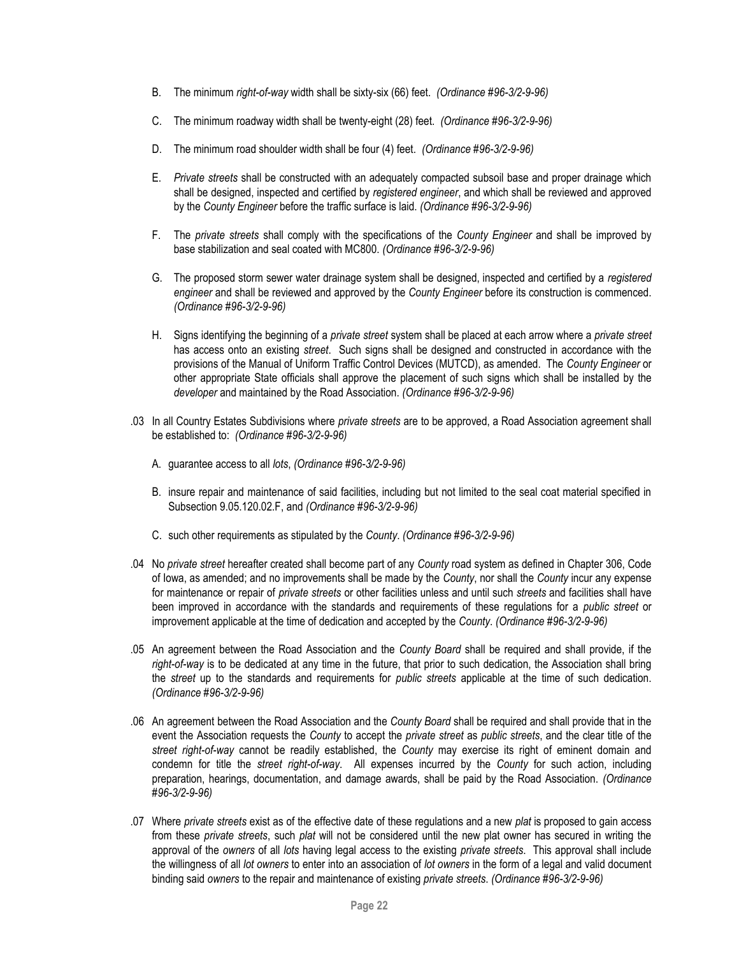- B. The minimum *right-of-way* width shall be sixty-six (66) feet. *(Ordinance #96-3/2-9-96)*
- C. The minimum roadway width shall be twenty-eight (28) feet. *(Ordinance #96-3/2-9-96)*
- D. The minimum road shoulder width shall be four (4) feet. *(Ordinance #96-3/2-9-96)*
- E. *Private streets* shall be constructed with an adequately compacted subsoil base and proper drainage which shall be designed, inspected and certified by *registered engineer*, and which shall be reviewed and approved by the *County Engineer* before the traffic surface is laid. *(Ordinance #96-3/2-9-96)*
- F. The *private streets* shall comply with the specifications of the *County Engineer* and shall be improved by base stabilization and seal coated with MC800. *(Ordinance #96-3/2-9-96)*
- G. The proposed storm sewer water drainage system shall be designed, inspected and certified by a *registered engineer* and shall be reviewed and approved by the *County Engineer* before its construction is commenced. *(Ordinance #96-3/2-9-96)*
- H. Signs identifying the beginning of a *private street* system shall be placed at each arrow where a *private street*  has access onto an existing *street*. Such signs shall be designed and constructed in accordance with the provisions of the Manual of Uniform Traffic Control Devices (MUTCD), as amended. The *County Engineer* or other appropriate State officials shall approve the placement of such signs which shall be installed by the *developer* and maintained by the Road Association. *(Ordinance #96-3/2-9-96)*
- .03 In all Country Estates Subdivisions where *private streets* are to be approved, a Road Association agreement shall be established to: *(Ordinance #96-3/2-9-96)*
	- A. guarantee access to all *lots*, *(Ordinance #96-3/2-9-96)*
	- B. insure repair and maintenance of said facilities, including but not limited to the seal coat material specified in Subsection 9.05.120.02.F, and *(Ordinance #96-3/2-9-96)*
	- C. such other requirements as stipulated by the *County*. *(Ordinance #96-3/2-9-96)*
- .04 No *private street* hereafter created shall become part of any *County* road system as defined in Chapter 306, Code of Iowa, as amended; and no improvements shall be made by the *County*, nor shall the *County* incur any expense for maintenance or repair of *private streets* or other facilities unless and until such *streets* and facilities shall have been improved in accordance with the standards and requirements of these regulations for a *public street* or improvement applicable at the time of dedication and accepted by the *County*. *(Ordinance #96-3/2-9-96)*
- .05 An agreement between the Road Association and the *County Board* shall be required and shall provide, if the *right-of-way* is to be dedicated at any time in the future, that prior to such dedication, the Association shall bring the *street* up to the standards and requirements for *public streets* applicable at the time of such dedication. *(Ordinance #96-3/2-9-96)*
- .06 An agreement between the Road Association and the *County Board* shall be required and shall provide that in the event the Association requests the *County* to accept the *private street* as *public streets*, and the clear title of the *street right-of-way* cannot be readily established, the *County* may exercise its right of eminent domain and condemn for title the *street right-of-way*. All expenses incurred by the *County* for such action, including preparation, hearings, documentation, and damage awards, shall be paid by the Road Association. *(Ordinance #96-3/2-9-96)*
- .07 Where *private streets* exist as of the effective date of these regulations and a new *plat* is proposed to gain access from these *private streets*, such *plat* will not be considered until the new plat owner has secured in writing the approval of the *owners* of all *lots* having legal access to the existing *private streets*. This approval shall include the willingness of all *lot owners* to enter into an association of *lot owners* in the form of a legal and valid document binding said *owners* to the repair and maintenance of existing *private streets*. *(Ordinance #96-3/2-9-96)*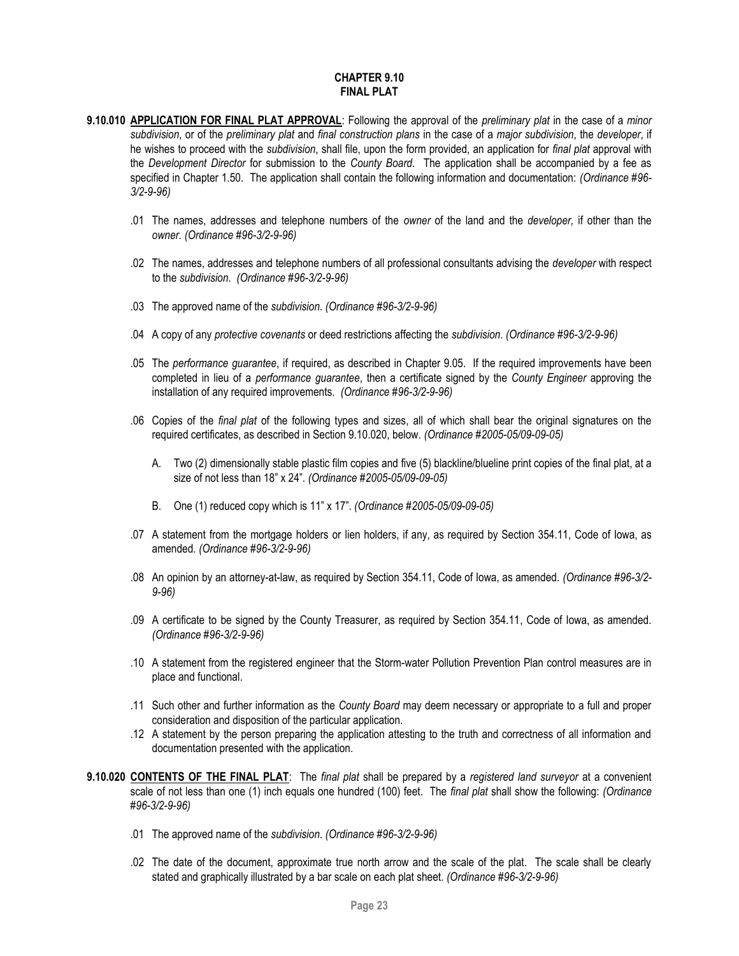# **CHAPTER 9.10 FINAL PLAT**

- <span id="page-22-0"></span>**9.10.010 APPLICATION FOR FINAL PLAT APPROVAL**: Following the approval of the *preliminary plat* in the case of a *minor subdivision*, or of the *preliminary plat* and *final construction plans* in the case of a *major subdivision*, the *developer*, if he wishes to proceed with the *subdivision*, shall file, upon the form provided, an application for *final plat* approval with the *Development Director* for submission to the *County Board*. The application shall be accompanied by a fee as specified in Chapter 1.50. The application shall contain the following information and documentation: *(Ordinance #96- 3/2-9-96)*
	- .01 The names, addresses and telephone numbers of the *owner* of the land and the *developer,* if other than the *owner. (Ordinance #96-3/2-9-96)*
	- .02 The names, addresses and telephone numbers of all professional consultants advising the *developer* with respect to the *subdivision*. *(Ordinance #96-3/2-9-96)*
	- .03 The approved name of the *subdivision*. *(Ordinance #96-3/2-9-96)*
	- .04 A copy of any *protective covenants* or deed restrictions affecting the *subdivision*. *(Ordinance #96-3/2-9-96)*
	- .05 The *performance guarantee*, if required, as described in Chapter 9.05. If the required improvements have been completed in lieu of a *performance guarantee*, then a certificate signed by the *County Engineer* approving the installation of any required improvements. *(Ordinance #96-3/2-9-96)*
	- .06 Copies of the *final plat* of the following types and sizes, all of which shall bear the original signatures on the required certificates, as described in Section 9.10.020, below. *(Ordinance #2005-05/09-09-05)*
		- A. Two (2) dimensionally stable plastic film copies and five (5) blackline/blueline print copies of the final plat, at a size of not less than 18" x 24". *(Ordinance #2005-05/09-09-05)*
		- B. One (1) reduced copy which is 11" x 17". *(Ordinance #2005-05/09-09-05)*
	- .07 A statement from the mortgage holders or lien holders, if any, as required by Section 354.11, Code of Iowa, as amended. *(Ordinance #96-3/2-9-96)*
	- .08 An opinion by an attorney-at-law, as required by Section 354.11, Code of Iowa, as amended. *(Ordinance #96-3/2- 9-96)*
	- .09 A certificate to be signed by the County Treasurer, as required by Section 354.11, Code of Iowa, as amended. *(Ordinance #96-3/2-9-96)*
	- .10 A statement from the registered engineer that the Storm-water Pollution Prevention Plan control measures are in place and functional.
	- .11 Such other and further information as the *County Board* may deem necessary or appropriate to a full and proper consideration and disposition of the particular application.
	- .12 A statement by the person preparing the application attesting to the truth and correctness of all information and documentation presented with the application.
- **9.10.020 CONTENTS OF THE FINAL PLAT**: The *final plat* shall be prepared by a *registered land surveyor* at a convenient scale of not less than one (1) inch equals one hundred (100) feet. The *final plat* shall show the following: *(Ordinance #96-3/2-9-96)*
	- .01 The approved name of the *subdivision*. *(Ordinance #96-3/2-9-96)*
	- .02 The date of the document, approximate true north arrow and the scale of the plat. The scale shall be clearly stated and graphically illustrated by a bar scale on each plat sheet. *(Ordinance #96-3/2-9-96)*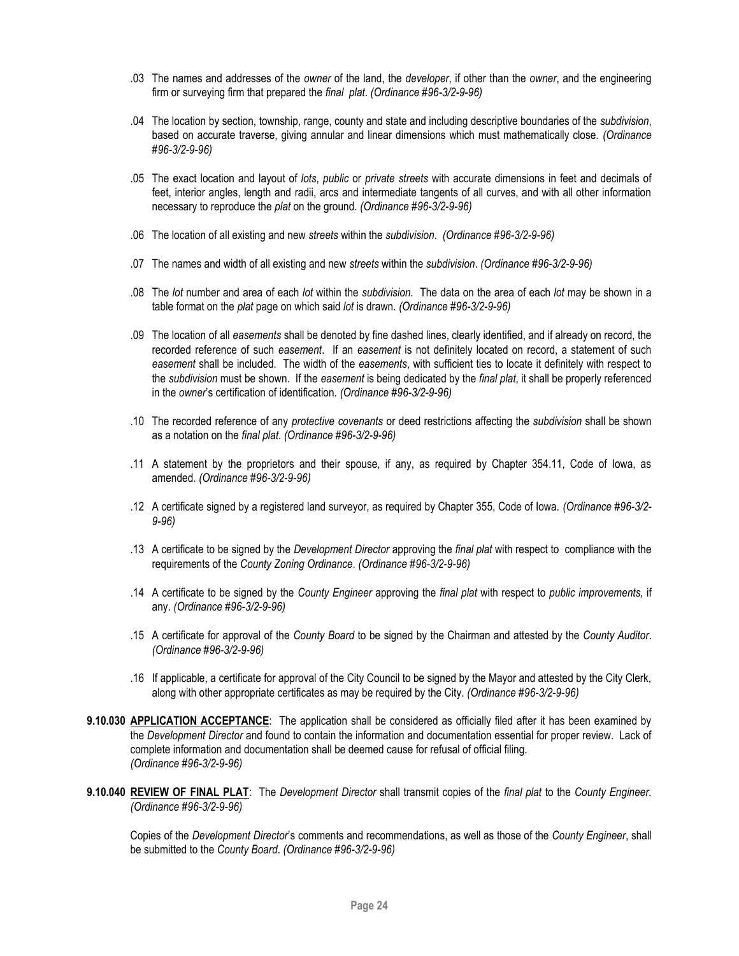- .03 The names and addresses of the *owner* of the land, the *developer*, if other than the *owner*, and the engineering firm or surveying firm that prepared the *final plat*. *(Ordinance #96-3/2-9-96)*
- .04 The location by section, township, range, county and state and including descriptive boundaries of the *subdivision*, based on accurate traverse, giving annular and linear dimensions which must mathematically close. *(Ordinance #96-3/2-9-96)*
- .05 The exact location and layout of *lots*, *public* or *private streets* with accurate dimensions in feet and decimals of feet, interior angles, length and radii, arcs and intermediate tangents of all curves, and with all other information necessary to reproduce the *plat* on the ground. *(Ordinance #96-3/2-9-96)*
- .06 The location of all existing and new *streets* within the *subdivision*. *(Ordinance #96-3/2-9-96)*
- .07 The names and width of all existing and new *streets* within the *subdivision*. *(Ordinance #96-3/2-9-96)*
- .08 The *lot* number and area of each *lot* within the *subdivision.* The data on the area of each *lot* may be shown in a table format on the *plat* page on which said *lot* is drawn. *(Ordinance #96-3/2-9-96)*
- .09 The location of all *easements* shall be denoted by fine dashed lines, clearly identified, and if already on record, the recorded reference of such *easement*. If an *easement* is not definitely located on record, a statement of such *easement* shall be included. The width of the *easements*, with sufficient ties to locate it definitely with respect to the *subdivision* must be shown. If the *easement* is being dedicated by the *final plat*, it shall be properly referenced in the *owner*'s certification of identification. *(Ordinance #96-3/2-9-96)*
- .10 The recorded reference of any *protective covenants* or deed restrictions affecting the *subdivision* shall be shown as a notation on the *final plat*. *(Ordinance #96-3/2-9-96)*
- .11 A statement by the proprietors and their spouse, if any, as required by Chapter 354.11, Code of Iowa, as amended. *(Ordinance #96-3/2-9-96)*
- .12 A certificate signed by a registered land surveyor, as required by Chapter 355, Code of Iowa. *(Ordinance #96-3/2- 9-96)*
- .13 A certificate to be signed by the *Development Director* approving the *final plat* with respect to compliance with the requirements of the *County Zoning Ordinance*. *(Ordinance #96-3/2-9-96)*
- .14 A certificate to be signed by the *County Engineer* approving the *final plat* with respect to *public improvements,* if any. *(Ordinance #96-3/2-9-96)*
- .15 A certificate for approval of the *County Board* to be signed by the Chairman and attested by the *County Auditor*. *(Ordinance #96-3/2-9-96)*
- .16 If applicable, a certificate for approval of the City Council to be signed by the Mayor and attested by the City Clerk, along with other appropriate certificates as may be required by the City. *(Ordinance #96-3/2-9-96)*
- **9.10.030 APPLICATION ACCEPTANCE**: The application shall be considered as officially filed after it has been examined by the *Development Director* and found to contain the information and documentation essential for proper review. Lack of complete information and documentation shall be deemed cause for refusal of official filing. *(Ordinance #96-3/2-9-96)*
- **9.10.040 REVIEW OF FINAL PLAT**: The *Development Director* shall transmit copies of the *final plat* to the *County Engineer. (Ordinance #96-3/2-9-96)*

Copies of the *Development Director*'s comments and recommendations, as well as those of the *County Engineer*, shall be submitted to the *County Board*. *(Ordinance #96-3/2-9-96)*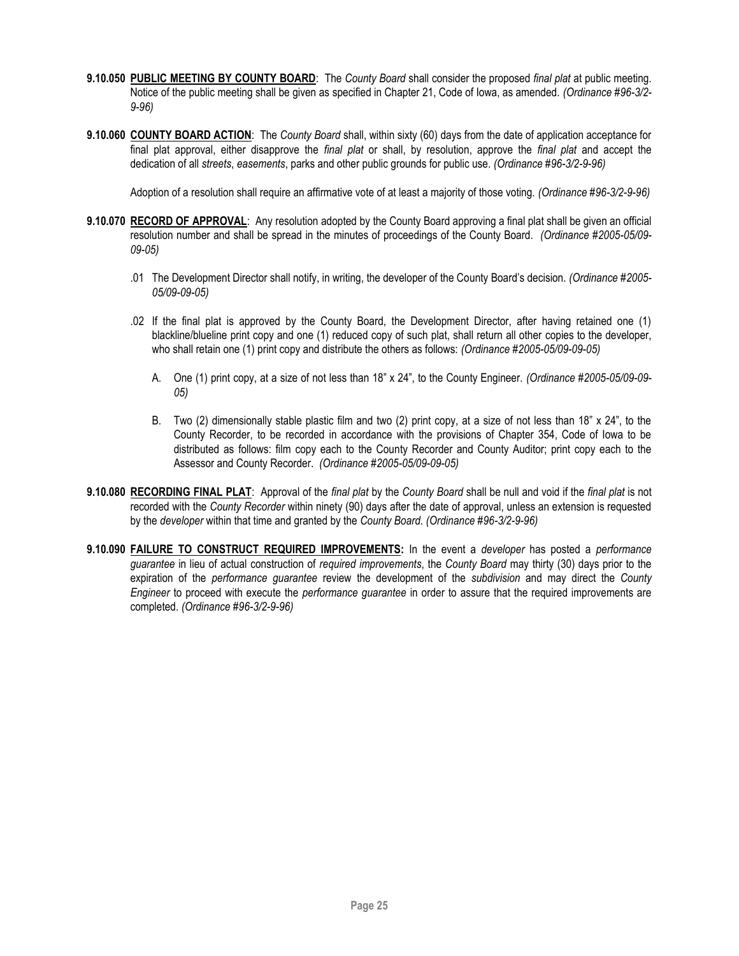- **9.10.050 PUBLIC MEETING BY COUNTY BOARD**: The *County Board* shall consider the proposed *final plat* at public meeting. Notice of the public meeting shall be given as specified in Chapter 21, Code of Iowa, as amended. *(Ordinance #96-3/2- 9-96)*
- **9.10.060 COUNTY BOARD ACTION**: The *County Board* shall, within sixty (60) days from the date of application acceptance for final plat approval, either disapprove the *final plat* or shall, by resolution, approve the *final plat* and accept the dedication of all *streets*, *easements*, parks and other public grounds for public use. *(Ordinance #96-3/2-9-96)*

Adoption of a resolution shall require an affirmative vote of at least a majority of those voting. *(Ordinance #96-3/2-9-96)*

- **9.10.070 RECORD OF APPROVAL**: Any resolution adopted by the County Board approving a final plat shall be given an official resolution number and shall be spread in the minutes of proceedings of the County Board. *(Ordinance #2005-05/09- 09-05)*
	- .01 The Development Director shall notify, in writing, the developer of the County Board's decision. *(Ordinance #2005- 05/09-09-05)*
	- .02 If the final plat is approved by the County Board, the Development Director, after having retained one (1) blackline/blueline print copy and one (1) reduced copy of such plat, shall return all other copies to the developer, who shall retain one (1) print copy and distribute the others as follows: *(Ordinance #2005-05/09-09-05)*
		- A. One (1) print copy, at a size of not less than 18" x 24", to the County Engineer. *(Ordinance #2005-05/09-09- 05)*
		- B. Two (2) dimensionally stable plastic film and two (2) print copy, at a size of not less than 18" x 24", to the County Recorder, to be recorded in accordance with the provisions of Chapter 354, Code of Iowa to be distributed as follows: film copy each to the County Recorder and County Auditor; print copy each to the Assessor and County Recorder. *(Ordinance #2005-05/09-09-05)*
- **9.10.080 RECORDING FINAL PLAT**: Approval of the *final plat* by the *County Board* shall be null and void if the *final plat* is not recorded with the *County Recorder* within ninety (90) days after the date of approval, unless an extension is requested by the *developer* within that time and granted by the *County Board. (Ordinance #96-3/2-9-96)*
- **9.10.090 FAILURE TO CONSTRUCT REQUIRED IMPROVEMENTS:** In the event a *developer* has posted a *performance guarantee* in lieu of actual construction of *required improvements*, the *County Board* may thirty (30) days prior to the expiration of the *performance guarantee* review the development of the *subdivision* and may direct the *County Engineer* to proceed with execute the *performance guarantee* in order to assure that the required improvements are completed. *(Ordinance #96-3/2-9-96)*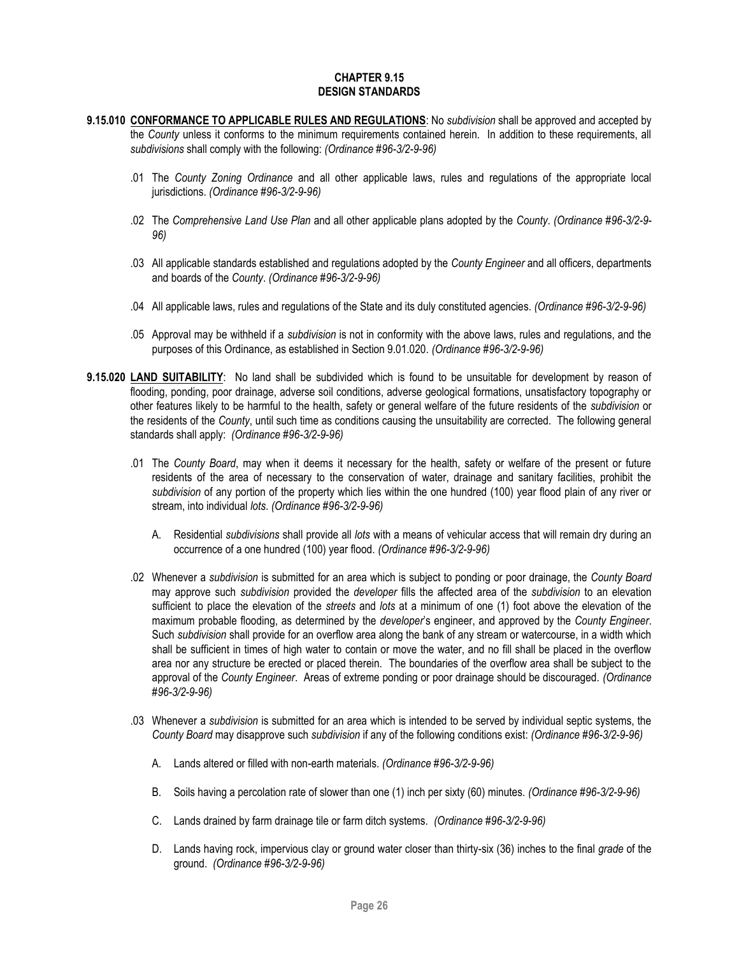### **CHAPTER 9.15 DESIGN STANDARDS**

- <span id="page-25-0"></span>**9.15.010 CONFORMANCE TO APPLICABLE RULES AND REGULATIONS**: No *subdivision* shall be approved and accepted by the *County* unless it conforms to the minimum requirements contained herein. In addition to these requirements, all *subdivisions* shall comply with the following: *(Ordinance #96-3/2-9-96)*
	- .01 The *County Zoning Ordinance* and all other applicable laws, rules and regulations of the appropriate local jurisdictions. *(Ordinance #96-3/2-9-96)*
	- .02 The *Comprehensive Land Use Plan* and all other applicable plans adopted by the *County*. *(Ordinance #96-3/2-9- 96)*
	- .03 All applicable standards established and regulations adopted by the *County Engineer* and all officers, departments and boards of the *County*. *(Ordinance #96-3/2-9-96)*
	- .04 All applicable laws, rules and regulations of the State and its duly constituted agencies. *(Ordinance #96-3/2-9-96)*
	- .05 Approval may be withheld if a *subdivision* is not in conformity with the above laws, rules and regulations, and the purposes of this Ordinance, as established in Section 9.01.020. *(Ordinance #96-3/2-9-96)*
- **9.15.020 LAND SUITABILITY**: No land shall be subdivided which is found to be unsuitable for development by reason of flooding, ponding, poor drainage, adverse soil conditions, adverse geological formations, unsatisfactory topography or other features likely to be harmful to the health, safety or general welfare of the future residents of the *subdivision* or the residents of the *County*, until such time as conditions causing the unsuitability are corrected. The following general standards shall apply: *(Ordinance #96-3/2-9-96)*
	- .01 The *County Board*, may when it deems it necessary for the health, safety or welfare of the present or future residents of the area of necessary to the conservation of water, drainage and sanitary facilities, prohibit the *subdivision* of any portion of the property which lies within the one hundred (100) year flood plain of any river or stream, into individual *lots*. *(Ordinance #96-3/2-9-96)*
		- A. Residential *subdivisions* shall provide all *lots* with a means of vehicular access that will remain dry during an occurrence of a one hundred (100) year flood. *(Ordinance #96-3/2-9-96)*
	- .02 Whenever a *subdivision* is submitted for an area which is subject to ponding or poor drainage, the *County Board*  may approve such *subdivision* provided the *developer* fills the affected area of the *subdivision* to an elevation sufficient to place the elevation of the *streets* and *lots* at a minimum of one (1) foot above the elevation of the maximum probable flooding, as determined by the *developer*'s engineer, and approved by the *County Engineer*. Such *subdivision* shall provide for an overflow area along the bank of any stream or watercourse, in a width which shall be sufficient in times of high water to contain or move the water, and no fill shall be placed in the overflow area nor any structure be erected or placed therein. The boundaries of the overflow area shall be subject to the approval of the *County Engineer*. Areas of extreme ponding or poor drainage should be discouraged. *(Ordinance #96-3/2-9-96)*
	- .03 Whenever a *subdivision* is submitted for an area which is intended to be served by individual septic systems, the *County Board* may disapprove such *subdivision* if any of the following conditions exist: *(Ordinance #96-3/2-9-96)*
		- A. Lands altered or filled with non-earth materials. *(Ordinance #96-3/2-9-96)*
		- B. Soils having a percolation rate of slower than one (1) inch per sixty (60) minutes. *(Ordinance #96-3/2-9-96)*
		- C. Lands drained by farm drainage tile or farm ditch systems. *(Ordinance #96-3/2-9-96)*
		- D. Lands having rock, impervious clay or ground water closer than thirty-six (36) inches to the final *grade* of the ground. *(Ordinance #96-3/2-9-96)*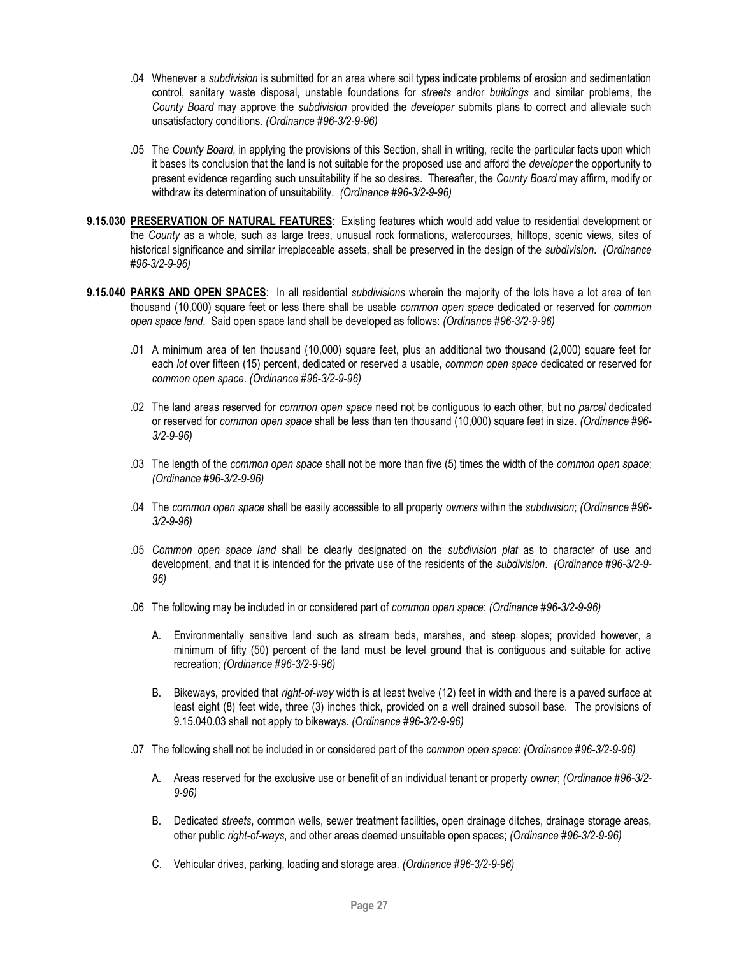- .04 Whenever a *subdivision* is submitted for an area where soil types indicate problems of erosion and sedimentation control, sanitary waste disposal, unstable foundations for *streets* and/or *buildings* and similar problems, the *County Board* may approve the *subdivision* provided the *developer* submits plans to correct and alleviate such unsatisfactory conditions. *(Ordinance #96-3/2-9-96)*
- .05 The *County Board*, in applying the provisions of this Section, shall in writing, recite the particular facts upon which it bases its conclusion that the land is not suitable for the proposed use and afford the *developer* the opportunity to present evidence regarding such unsuitability if he so desires. Thereafter, the *County Board* may affirm, modify or withdraw its determination of unsuitability. *(Ordinance #96-3/2-9-96)*
- **9.15.030 PRESERVATION OF NATURAL FEATURES**: Existing features which would add value to residential development or the *County* as a whole, such as large trees, unusual rock formations, watercourses, hilltops, scenic views, sites of historical significance and similar irreplaceable assets, shall be preserved in the design of the *subdivision*. *(Ordinance #96-3/2-9-96)*
- **9.15.040 PARKS AND OPEN SPACES**: In all residential *subdivisions* wherein the majority of the lots have a lot area of ten thousand (10,000) square feet or less there shall be usable *common open space* dedicated or reserved for *common open space land*. Said open space land shall be developed as follows: *(Ordinance #96-3/2-9-96)*
	- .01 A minimum area of ten thousand (10,000) square feet, plus an additional two thousand (2,000) square feet for each *lot* over fifteen (15) percent, dedicated or reserved a usable, *common open space* dedicated or reserved for *common open space*. *(Ordinance #96-3/2-9-96)*
	- .02 The land areas reserved for *common open space* need not be contiguous to each other, but no *parcel* dedicated or reserved for *common open space* shall be less than ten thousand (10,000) square feet in size. *(Ordinance #96- 3/2-9-96)*
	- .03 The length of the *common open space* shall not be more than five (5) times the width of the *common open space*; *(Ordinance #96-3/2-9-96)*
	- .04 The *common open space* shall be easily accessible to all property *owners* within the *subdivision*; *(Ordinance #96- 3/2-9-96)*
	- .05 *Common open space land* shall be clearly designated on the *subdivision plat* as to character of use and development, and that it is intended for the private use of the residents of the *subdivision*. *(Ordinance #96-3/2-9- 96)*
	- .06 The following may be included in or considered part of *common open space*: *(Ordinance #96-3/2-9-96)*
		- A. Environmentally sensitive land such as stream beds, marshes, and steep slopes; provided however, a minimum of fifty (50) percent of the land must be level ground that is contiguous and suitable for active recreation; *(Ordinance #96-3/2-9-96)*
		- B. Bikeways, provided that *right-of-way* width is at least twelve (12) feet in width and there is a paved surface at least eight (8) feet wide, three (3) inches thick, provided on a well drained subsoil base. The provisions of 9.15.040.03 shall not apply to bikeways. *(Ordinance #96-3/2-9-96)*
	- .07 The following shall not be included in or considered part of the *common open space*: *(Ordinance #96-3/2-9-96)*
		- A. Areas reserved for the exclusive use or benefit of an individual tenant or property *owner*; *(Ordinance #96-3/2- 9-96)*
		- B. Dedicated *streets*, common wells, sewer treatment facilities, open drainage ditches, drainage storage areas, other public *right-of-ways*, and other areas deemed unsuitable open spaces; *(Ordinance #96-3/2-9-96)*
		- C. Vehicular drives, parking, loading and storage area. *(Ordinance #96-3/2-9-96)*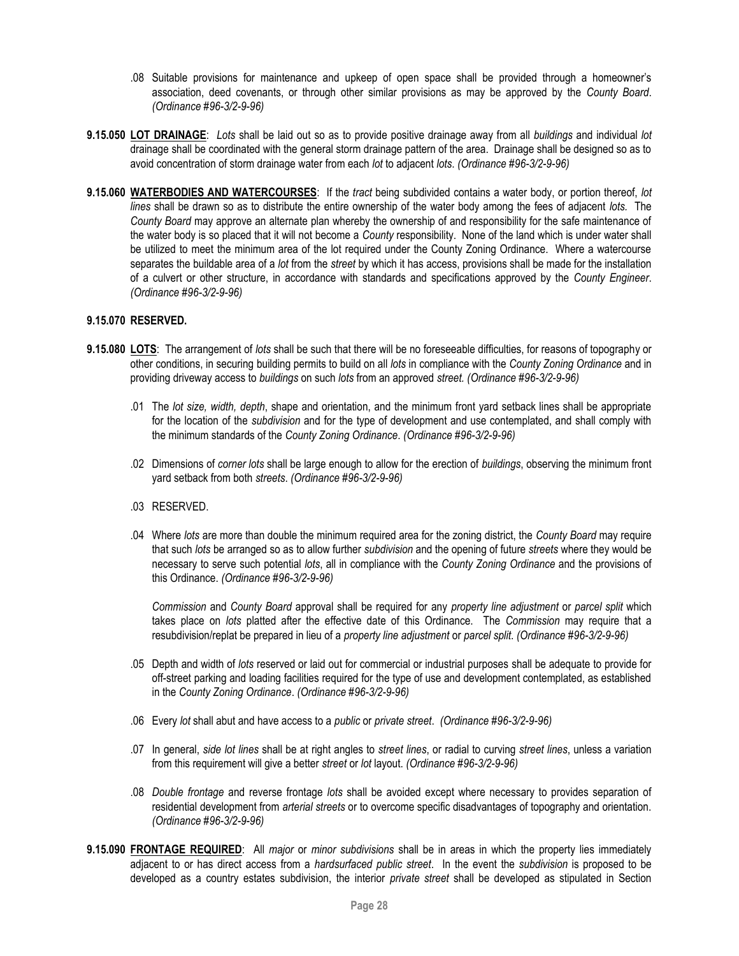- .08 Suitable provisions for maintenance and upkeep of open space shall be provided through a homeowner's association, deed covenants, or through other similar provisions as may be approved by the *County Board*. *(Ordinance #96-3/2-9-96)*
- **9.15.050 LOT DRAINAGE**: *Lots* shall be laid out so as to provide positive drainage away from all *buildings* and individual *lot*  drainage shall be coordinated with the general storm drainage pattern of the area. Drainage shall be designed so as to avoid concentration of storm drainage water from each *lot* to adjacent *lots*. *(Ordinance #96-3/2-9-96)*
- **9.15.060 WATERBODIES AND WATERCOURSES**: If the *tract* being subdivided contains a water body, or portion thereof, *lot lines* shall be drawn so as to distribute the entire ownership of the water body among the fees of adjacent *lots.* The *County Board* may approve an alternate plan whereby the ownership of and responsibility for the safe maintenance of the water body is so placed that it will not become a *County* responsibility. None of the land which is under water shall be utilized to meet the minimum area of the lot required under the County Zoning Ordinance. Where a watercourse separates the buildable area of a *lot* from the *street* by which it has access, provisions shall be made for the installation of a culvert or other structure, in accordance with standards and specifications approved by the *County Engineer*. *(Ordinance #96-3/2-9-96)*

# **9.15.070 RESERVED.**

- **9.15.080 LOTS**: The arrangement of *lots* shall be such that there will be no foreseeable difficulties, for reasons of topography or other conditions, in securing building permits to build on all *lots* in compliance with the *County Zoning Ordinance* and in providing driveway access to *buildings* on such *lots* from an approved *street. (Ordinance #96-3/2-9-96)*
	- .01 The *lot size, width, depth*, shape and orientation, and the minimum front yard setback lines shall be appropriate for the location of the *subdivision* and for the type of development and use contemplated, and shall comply with the minimum standards of the *County Zoning Ordinance*. *(Ordinance #96-3/2-9-96)*
	- .02 Dimensions of *corner lots* shall be large enough to allow for the erection of *buildings*, observing the minimum front yard setback from both *streets*. *(Ordinance #96-3/2-9-96)*
	- .03 RESERVED.
	- .04 Where *lots* are more than double the minimum required area for the zoning district, the *County Board* may require that such *lots* be arranged so as to allow further *subdivision* and the opening of future *streets* where they would be necessary to serve such potential *lots*, all in compliance with the *County Zoning Ordinance* and the provisions of this Ordinance. *(Ordinance #96-3/2-9-96)*

*Commission* and *County Board* approval shall be required for any *property line adjustment* or *parcel split* which takes place on *lots* platted after the effective date of this Ordinance. The *Commission* may require that a resubdivision/replat be prepared in lieu of a *property line adjustment* or *parcel split*. *(Ordinance #96-3/2-9-96)*

- .05 Depth and width of *lots* reserved or laid out for commercial or industrial purposes shall be adequate to provide for off-street parking and loading facilities required for the type of use and development contemplated, as established in the *County Zoning Ordinance*. *(Ordinance #96-3/2-9-96)*
- .06 Every *lot* shall abut and have access to a *public* or *private street*. *(Ordinance #96-3/2-9-96)*
- .07 In general, *side lot lines* shall be at right angles to *street lines*, or radial to curving *street lines*, unless a variation from this requirement will give a better *street* or *lot* layout. *(Ordinance #96-3/2-9-96)*
- .08 *Double frontage* and reverse frontage *lots* shall be avoided except where necessary to provides separation of residential development from *arterial streets* or to overcome specific disadvantages of topography and orientation. *(Ordinance #96-3/2-9-96)*
- **9.15.090 FRONTAGE REQUIRED**: All *major* or *minor subdivisions* shall be in areas in which the property lies immediately adjacent to or has direct access from a *hardsurfaced public street*. In the event the *subdivision* is proposed to be developed as a country estates subdivision, the interior *private street* shall be developed as stipulated in Section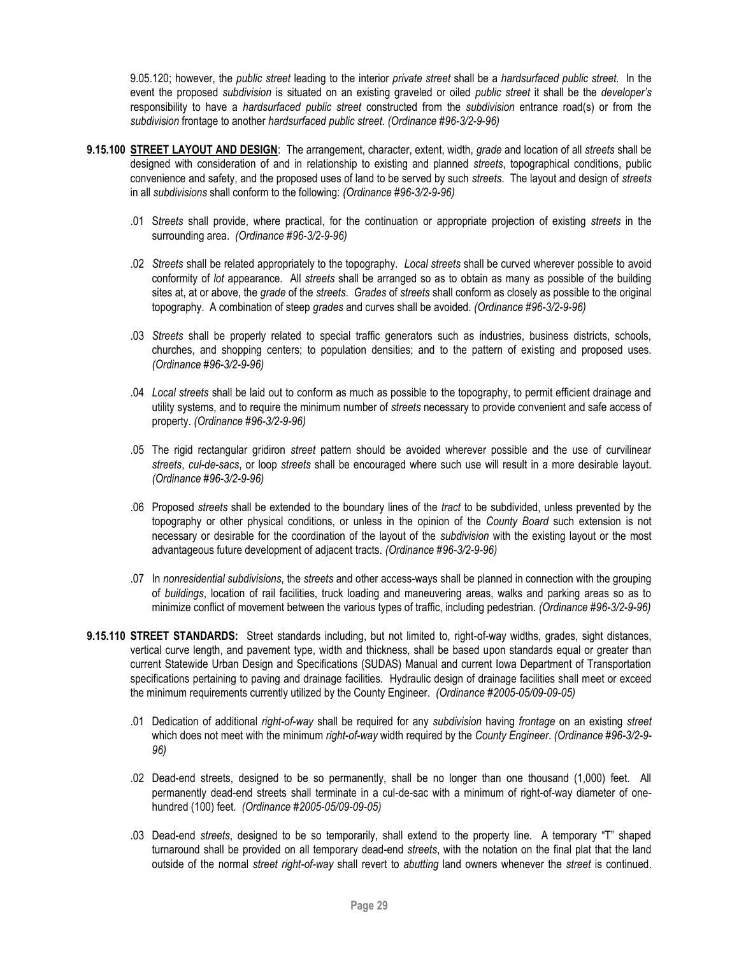9.05.120; however, the *public street* leading to the interior *private street* shall be a *hardsurfaced public street.* In the event the proposed *subdivision* is situated on an existing graveled or oiled *public street* it shall be the *developer's*  responsibility to have a *hardsurfaced public street* constructed from the *subdivision* entrance road(s) or from the *subdivision* frontage to another *hardsurfaced public street*. *(Ordinance #96-3/2-9-96)*

- **9.15.100 STREET LAYOUT AND DESIGN**: The arrangement, character, extent, width, *grade* and location of all *streets* shall be designed with consideration of and in relationship to existing and planned *streets*, topographical conditions, public convenience and safety, and the proposed uses of land to be served by such *streets*. The layout and design of *streets* in all *subdivisions* shall conform to the following: *(Ordinance #96-3/2-9-96)*
	- .01 S*treets* shall provide, where practical, for the continuation or appropriate projection of existing *streets* in the surrounding area. *(Ordinance #96-3/2-9-96)*
	- .02 *Streets* shall be related appropriately to the topography. *Local streets* shall be curved wherever possible to avoid conformity of *lot* appearance. All *streets* shall be arranged so as to obtain as many as possible of the building sites at, at or above, the *grade* of the *streets*. *Grades* of *streets* shall conform as closely as possible to the original topography. A combination of steep *grades* and curves shall be avoided. *(Ordinance #96-3/2-9-96)*
	- .03 *Streets* shall be properly related to special traffic generators such as industries, business districts, schools, churches, and shopping centers; to population densities; and to the pattern of existing and proposed uses. *(Ordinance #96-3/2-9-96)*
	- .04 *Local streets* shall be laid out to conform as much as possible to the topography, to permit efficient drainage and utility systems, and to require the minimum number of *streets* necessary to provide convenient and safe access of property. *(Ordinance #96-3/2-9-96)*
	- .05 The rigid rectangular gridiron *street* pattern should be avoided wherever possible and the use of curvilinear *streets*, *cul-de-sacs*, or loop *streets* shall be encouraged where such use will result in a more desirable layout. *(Ordinance #96-3/2-9-96)*
	- .06 Proposed *streets* shall be extended to the boundary lines of the *tract* to be subdivided, unless prevented by the topography or other physical conditions, or unless in the opinion of the *County Board* such extension is not necessary or desirable for the coordination of the layout of the *subdivision* with the existing layout or the most advantageous future development of adjacent tracts. *(Ordinance #96-3/2-9-96)*
	- .07 In *nonresidential subdivisions*, the *streets* and other access-ways shall be planned in connection with the grouping of *buildings*, location of rail facilities, truck loading and maneuvering areas, walks and parking areas so as to minimize conflict of movement between the various types of traffic, including pedestrian. *(Ordinance #96-3/2-9-96)*
- **9.15.110 STREET STANDARDS:** Street standards including, but not limited to, right-of-way widths, grades, sight distances, vertical curve length, and pavement type, width and thickness, shall be based upon standards equal or greater than current Statewide Urban Design and Specifications (SUDAS) Manual and current Iowa Department of Transportation specifications pertaining to paving and drainage facilities. Hydraulic design of drainage facilities shall meet or exceed the minimum requirements currently utilized by the County Engineer. *(Ordinance #2005-05/09-09-05)*
	- .01 Dedication of additional *right-of-way* shall be required for any *subdivision* having *frontage* on an existing *street* which does not meet with the minimum *right-of-way* width required by the *County Engineer*. *(Ordinance #96-3/2-9- 96)*
	- .02 Dead-end streets, designed to be so permanently, shall be no longer than one thousand (1,000) feet. All permanently dead-end streets shall terminate in a cul-de-sac with a minimum of right-of-way diameter of onehundred (100) feet. *(Ordinance #2005-05/09-09-05)*
	- .03 Dead-end *streets*, designed to be so temporarily, shall extend to the property line. A temporary "T" shaped turnaround shall be provided on all temporary dead-end *streets*, with the notation on the final plat that the land outside of the normal *street right-of-way* shall revert to *abutting* land owners whenever the *street* is continued.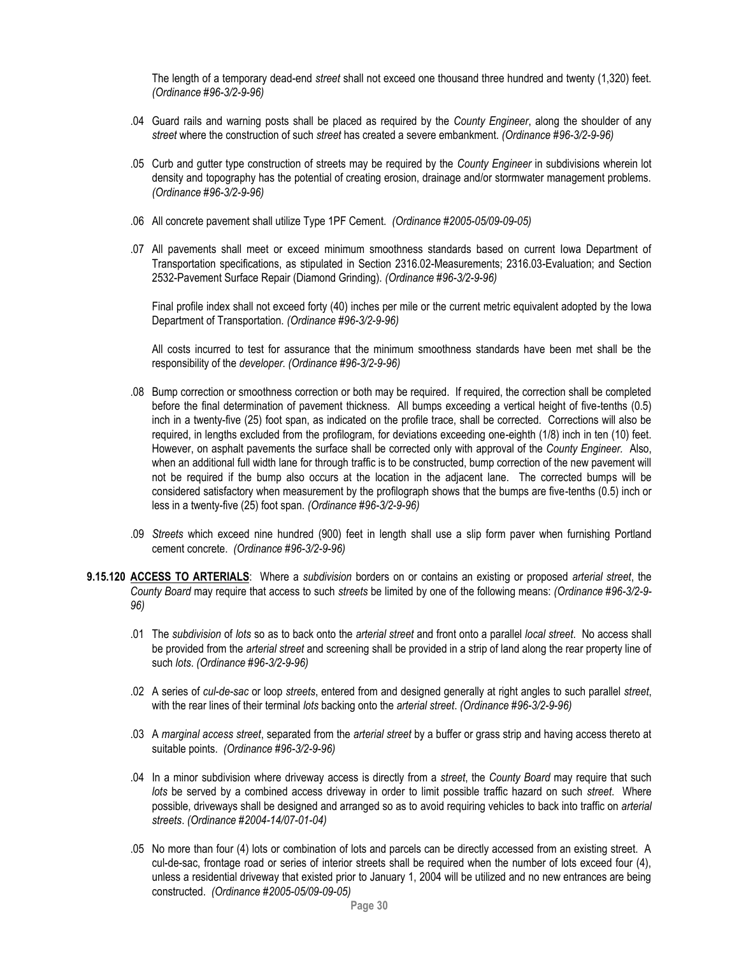The length of a temporary dead-end *street* shall not exceed one thousand three hundred and twenty (1,320) feet. *(Ordinance #96-3/2-9-96)*

- .04 Guard rails and warning posts shall be placed as required by the *County Engineer*, along the shoulder of any *street* where the construction of such *street* has created a severe embankment. *(Ordinance #96-3/2-9-96)*
- .05 Curb and gutter type construction of streets may be required by the *County Engineer* in subdivisions wherein lot density and topography has the potential of creating erosion, drainage and/or stormwater management problems. *(Ordinance #96-3/2-9-96)*
- .06 All concrete pavement shall utilize Type 1PF Cement. *(Ordinance #2005-05/09-09-05)*
- .07 All pavements shall meet or exceed minimum smoothness standards based on current Iowa Department of Transportation specifications, as stipulated in Section 2316.02-Measurements; 2316.03-Evaluation; and Section 2532-Pavement Surface Repair (Diamond Grinding). *(Ordinance #96-3/2-9-96)*

Final profile index shall not exceed forty (40) inches per mile or the current metric equivalent adopted by the Iowa Department of Transportation. *(Ordinance #96-3/2-9-96)*

All costs incurred to test for assurance that the minimum smoothness standards have been met shall be the responsibility of the *developer. (Ordinance #96-3/2-9-96)*

- .08 Bump correction or smoothness correction or both may be required. If required, the correction shall be completed before the final determination of pavement thickness. All bumps exceeding a vertical height of five-tenths (0.5) inch in a twenty-five (25) foot span, as indicated on the profile trace, shall be corrected. Corrections will also be required, in lengths excluded from the profilogram, for deviations exceeding one-eighth (1/8) inch in ten (10) feet. However, on asphalt pavements the surface shall be corrected only with approval of the *County Engineer.* Also, when an additional full width lane for through traffic is to be constructed, bump correction of the new pavement will not be required if the bump also occurs at the location in the adjacent lane. The corrected bumps will be considered satisfactory when measurement by the profilograph shows that the bumps are five-tenths (0.5) inch or less in a twenty-five (25) foot span. *(Ordinance #96-3/2-9-96)*
- .09 *Streets* which exceed nine hundred (900) feet in length shall use a slip form paver when furnishing Portland cement concrete. *(Ordinance #96-3/2-9-96)*
- **9.15.120 ACCESS TO ARTERIALS**: Where a *subdivision* borders on or contains an existing or proposed *arterial street*, the *County Board* may require that access to such *streets* be limited by one of the following means: *(Ordinance #96-3/2-9- 96)*
	- .01 The *subdivision* of *lots* so as to back onto the *arterial street* and front onto a parallel *local street*. No access shall be provided from the *arterial street* and screening shall be provided in a strip of land along the rear property line of such *lots*. *(Ordinance #96-3/2-9-96)*
	- .02 A series of *cul-de-sac* or loop *streets*, entered from and designed generally at right angles to such parallel *street*, with the rear lines of their terminal *lots* backing onto the *arterial street*. *(Ordinance #96-3/2-9-96)*
	- .03 A *marginal access street*, separated from the *arterial street* by a buffer or grass strip and having access thereto at suitable points. *(Ordinance #96-3/2-9-96)*
	- .04 In a minor subdivision where driveway access is directly from a *street*, the *County Board* may require that such *lots* be served by a combined access driveway in order to limit possible traffic hazard on such *street*. Where possible, driveways shall be designed and arranged so as to avoid requiring vehicles to back into traffic on *arterial streets*. *(Ordinance #2004-14/07-01-04)*
	- .05 No more than four (4) lots or combination of lots and parcels can be directly accessed from an existing street. A cul-de-sac, frontage road or series of interior streets shall be required when the number of lots exceed four (4), unless a residential driveway that existed prior to January 1, 2004 will be utilized and no new entrances are being constructed. *(Ordinance #2005-05/09-09-05)*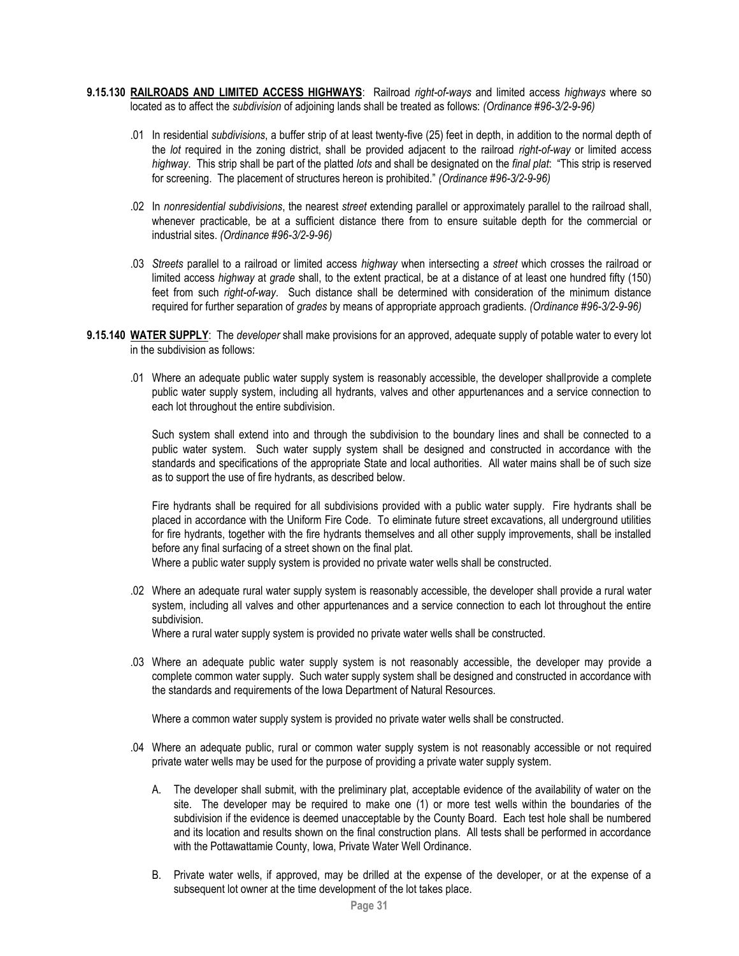- **9.15.130 RAILROADS AND LIMITED ACCESS HIGHWAYS**: Railroad *right-of-ways* and limited access *highways* where so located as to affect the *subdivision* of adjoining lands shall be treated as follows: *(Ordinance #96-3/2-9-96)*
	- .01 In residential *subdivisions*, a buffer strip of at least twenty-five (25) feet in depth, in addition to the normal depth of the *lot* required in the zoning district, shall be provided adjacent to the railroad *right-of-way* or limited access *highway*. This strip shall be part of the platted *lots* and shall be designated on the *final plat*: "This strip is reserved for screening. The placement of structures hereon is prohibited." *(Ordinance #96-3/2-9-96)*
	- .02 In *nonresidential subdivisions*, the nearest *street* extending parallel or approximately parallel to the railroad shall, whenever practicable, be at a sufficient distance there from to ensure suitable depth for the commercial or industrial sites. *(Ordinance #96-3/2-9-96)*
	- .03 *Streets* parallel to a railroad or limited access *highway* when intersecting a *street* which crosses the railroad or limited access *highway* at *grade* shall, to the extent practical, be at a distance of at least one hundred fifty (150) feet from such *right-of-way*. Such distance shall be determined with consideration of the minimum distance required for further separation of *grades* by means of appropriate approach gradients. *(Ordinance #96-3/2-9-96)*
- **9.15.140 WATER SUPPLY**: The *developer* shall make provisions for an approved, adequate supply of potable water to every lot in the subdivision as follows:
	- .01 Where an adequate public water supply system is reasonably accessible, the developer shallprovide a complete public water supply system, including all hydrants, valves and other appurtenances and a service connection to each lot throughout the entire subdivision.

Such system shall extend into and through the subdivision to the boundary lines and shall be connected to a public water system. Such water supply system shall be designed and constructed in accordance with the standards and specifications of the appropriate State and local authorities. All water mains shall be of such size as to support the use of fire hydrants, as described below.

Fire hydrants shall be required for all subdivisions provided with a public water supply. Fire hydrants shall be placed in accordance with the Uniform Fire Code. To eliminate future street excavations, all underground utilities for fire hydrants, together with the fire hydrants themselves and all other supply improvements, shall be installed before any final surfacing of a street shown on the final plat.

Where a public water supply system is provided no private water wells shall be constructed.

.02 Where an adequate rural water supply system is reasonably accessible, the developer shall provide a rural water system, including all valves and other appurtenances and a service connection to each lot throughout the entire subdivision.

Where a rural water supply system is provided no private water wells shall be constructed.

.03 Where an adequate public water supply system is not reasonably accessible, the developer may provide a complete common water supply. Such water supply system shall be designed and constructed in accordance with the standards and requirements of the Iowa Department of Natural Resources.

Where a common water supply system is provided no private water wells shall be constructed.

- .04 Where an adequate public, rural or common water supply system is not reasonably accessible or not required private water wells may be used for the purpose of providing a private water supply system.
	- A. The developer shall submit, with the preliminary plat, acceptable evidence of the availability of water on the site. The developer may be required to make one (1) or more test wells within the boundaries of the subdivision if the evidence is deemed unacceptable by the County Board. Each test hole shall be numbered and its location and results shown on the final construction plans. All tests shall be performed in accordance with the Pottawattamie County, Iowa, Private Water Well Ordinance.
	- B. Private water wells, if approved, may be drilled at the expense of the developer, or at the expense of a subsequent lot owner at the time development of the lot takes place.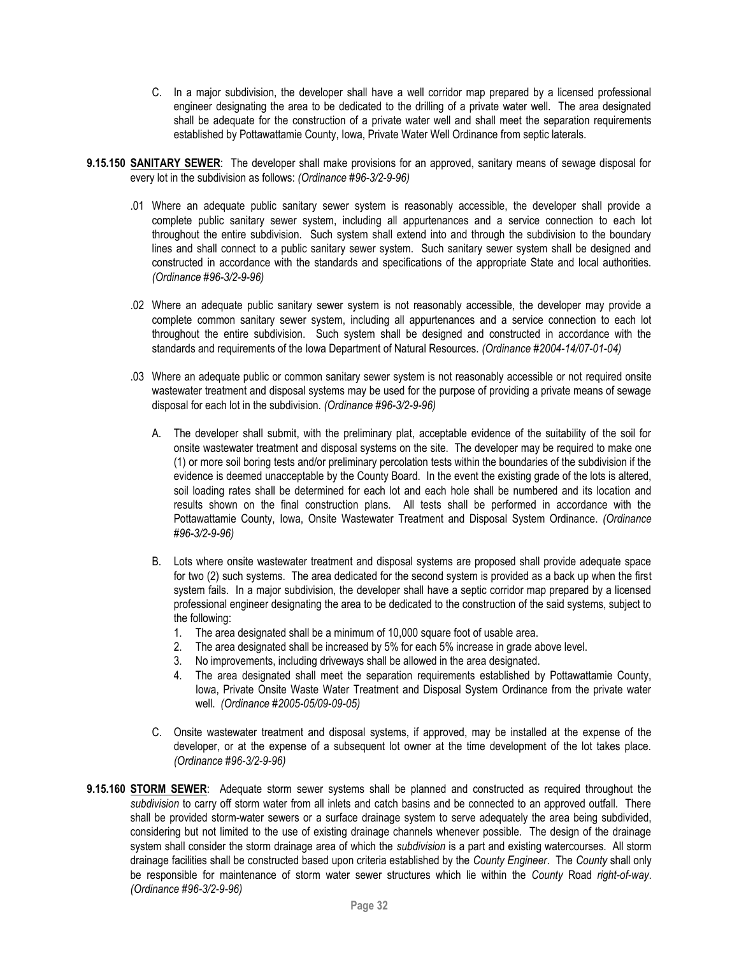- C. In a major subdivision, the developer shall have a well corridor map prepared by a licensed professional engineer designating the area to be dedicated to the drilling of a private water well. The area designated shall be adequate for the construction of a private water well and shall meet the separation requirements established by Pottawattamie County, Iowa, Private Water Well Ordinance from septic laterals.
- **9.15.150 SANITARY SEWER**: The developer shall make provisions for an approved, sanitary means of sewage disposal for every lot in the subdivision as follows: *(Ordinance #96-3/2-9-96)*
	- .01 Where an adequate public sanitary sewer system is reasonably accessible, the developer shall provide a complete public sanitary sewer system, including all appurtenances and a service connection to each lot throughout the entire subdivision. Such system shall extend into and through the subdivision to the boundary lines and shall connect to a public sanitary sewer system. Such sanitary sewer system shall be designed and constructed in accordance with the standards and specifications of the appropriate State and local authorities. *(Ordinance #96-3/2-9-96)*
	- .02 Where an adequate public sanitary sewer system is not reasonably accessible, the developer may provide a complete common sanitary sewer system, including all appurtenances and a service connection to each lot throughout the entire subdivision. Such system shall be designed and constructed in accordance with the standards and requirements of the Iowa Department of Natural Resources. *(Ordinance #2004-14/07-01-04)*
	- .03 Where an adequate public or common sanitary sewer system is not reasonably accessible or not required onsite wastewater treatment and disposal systems may be used for the purpose of providing a private means of sewage disposal for each lot in the subdivision. *(Ordinance #96-3/2-9-96)*
		- A. The developer shall submit, with the preliminary plat, acceptable evidence of the suitability of the soil for onsite wastewater treatment and disposal systems on the site. The developer may be required to make one (1) or more soil boring tests and/or preliminary percolation tests within the boundaries of the subdivision if the evidence is deemed unacceptable by the County Board. In the event the existing grade of the lots is altered, soil loading rates shall be determined for each lot and each hole shall be numbered and its location and results shown on the final construction plans. All tests shall be performed in accordance with the Pottawattamie County, Iowa, Onsite Wastewater Treatment and Disposal System Ordinance. *(Ordinance #96-3/2-9-96)*
		- B. Lots where onsite wastewater treatment and disposal systems are proposed shall provide adequate space for two (2) such systems. The area dedicated for the second system is provided as a back up when the first system fails. In a major subdivision, the developer shall have a septic corridor map prepared by a licensed professional engineer designating the area to be dedicated to the construction of the said systems, subject to the following:
			- 1. The area designated shall be a minimum of 10,000 square foot of usable area.
			- 2. The area designated shall be increased by 5% for each 5% increase in grade above level.
			- 3. No improvements, including driveways shall be allowed in the area designated.
			- 4. The area designated shall meet the separation requirements established by Pottawattamie County, Iowa, Private Onsite Waste Water Treatment and Disposal System Ordinance from the private water well. *(Ordinance #2005-05/09-09-05)*
		- C. Onsite wastewater treatment and disposal systems, if approved, may be installed at the expense of the developer, or at the expense of a subsequent lot owner at the time development of the lot takes place. *(Ordinance #96-3/2-9-96)*
- **9.15.160 STORM SEWER**: Adequate storm sewer systems shall be planned and constructed as required throughout the *subdivision* to carry off storm water from all inlets and catch basins and be connected to an approved outfall. There shall be provided storm-water sewers or a surface drainage system to serve adequately the area being subdivided, considering but not limited to the use of existing drainage channels whenever possible. The design of the drainage system shall consider the storm drainage area of which the *subdivision* is a part and existing watercourses. All storm drainage facilities shall be constructed based upon criteria established by the *County Engineer*. The *County* shall only be responsible for maintenance of storm water sewer structures which lie within the *County* Road *right-of-way*. *(Ordinance #96-3/2-9-96)*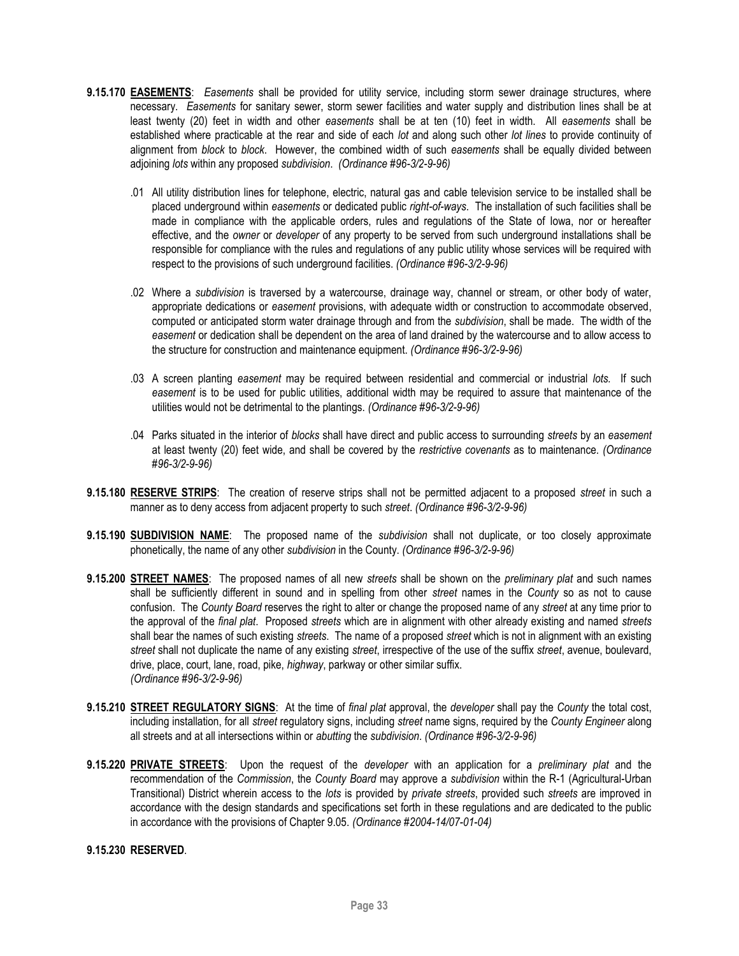- **9.15.170 EASEMENTS**: *Easements* shall be provided for utility service, including storm sewer drainage structures, where necessary. *Easements* for sanitary sewer, storm sewer facilities and water supply and distribution lines shall be at least twenty (20) feet in width and other *easements* shall be at ten (10) feet in width. All *easements* shall be established where practicable at the rear and side of each *lot* and along such other *lot lines* to provide continuity of alignment from *block* to *block*. However, the combined width of such *easements* shall be equally divided between adjoining *lots* within any proposed *subdivision*. *(Ordinance #96-3/2-9-96)*
	- .01 All utility distribution lines for telephone, electric, natural gas and cable television service to be installed shall be placed underground within *easements* or dedicated public *right-of-ways*. The installation of such facilities shall be made in compliance with the applicable orders, rules and regulations of the State of Iowa, nor or hereafter effective, and the *owner* or *developer* of any property to be served from such underground installations shall be responsible for compliance with the rules and regulations of any public utility whose services will be required with respect to the provisions of such underground facilities. *(Ordinance #96-3/2-9-96)*
	- .02 Where a *subdivision* is traversed by a watercourse, drainage way, channel or stream, or other body of water, appropriate dedications or *easement* provisions, with adequate width or construction to accommodate observed, computed or anticipated storm water drainage through and from the *subdivision*, shall be made. The width of the *easement* or dedication shall be dependent on the area of land drained by the watercourse and to allow access to the structure for construction and maintenance equipment. *(Ordinance #96-3/2-9-96)*
	- .03 A screen planting *easement* may be required between residential and commercial or industrial *lots.* If such *easement* is to be used for public utilities, additional width may be required to assure that maintenance of the utilities would not be detrimental to the plantings. *(Ordinance #96-3/2-9-96)*
	- .04 Parks situated in the interior of *blocks* shall have direct and public access to surrounding *streets* by an *easement* at least twenty (20) feet wide, and shall be covered by the *restrictive covenants* as to maintenance. *(Ordinance #96-3/2-9-96)*
- **9.15.180 RESERVE STRIPS**: The creation of reserve strips shall not be permitted adjacent to a proposed *street* in such a manner as to deny access from adjacent property to such *street*. *(Ordinance #96-3/2-9-96)*
- **9.15.190 SUBDIVISION NAME**: The proposed name of the *subdivision* shall not duplicate, or too closely approximate phonetically, the name of any other *subdivision* in the County. *(Ordinance #96-3/2-9-96)*
- **9.15.200 STREET NAMES**: The proposed names of all new *streets* shall be shown on the *preliminary plat* and such names shall be sufficiently different in sound and in spelling from other *street* names in the *County* so as not to cause confusion. The *County Board* reserves the right to alter or change the proposed name of any *street* at any time prior to the approval of the *final plat*. Proposed *streets* which are in alignment with other already existing and named *streets*  shall bear the names of such existing *streets*. The name of a proposed *street* which is not in alignment with an existing *street* shall not duplicate the name of any existing *street*, irrespective of the use of the suffix *street*, avenue, boulevard, drive, place, court, lane, road, pike, *highway*, parkway or other similar suffix. *(Ordinance #96-3/2-9-96)*
- **9.15.210 STREET REGULATORY SIGNS**: At the time of *final plat* approval, the *developer* shall pay the *County* the total cost, including installation, for all *street* regulatory signs, including *street* name signs, required by the *County Engineer* along all streets and at all intersections within or *abutting* the *subdivision*. *(Ordinance #96-3/2-9-96)*
- **9.15.220 PRIVATE STREETS**: Upon the request of the *developer* with an application for a *preliminary plat* and the recommendation of the *Commission*, the *County Board* may approve a *subdivision* within the R-1 (Agricultural-Urban Transitional) District wherein access to the *lots* is provided by *private streets*, provided such *streets* are improved in accordance with the design standards and specifications set forth in these regulations and are dedicated to the public in accordance with the provisions of Chapter 9.05. *(Ordinance #2004-14/07-01-04)*

# **9.15.230 RESERVED**.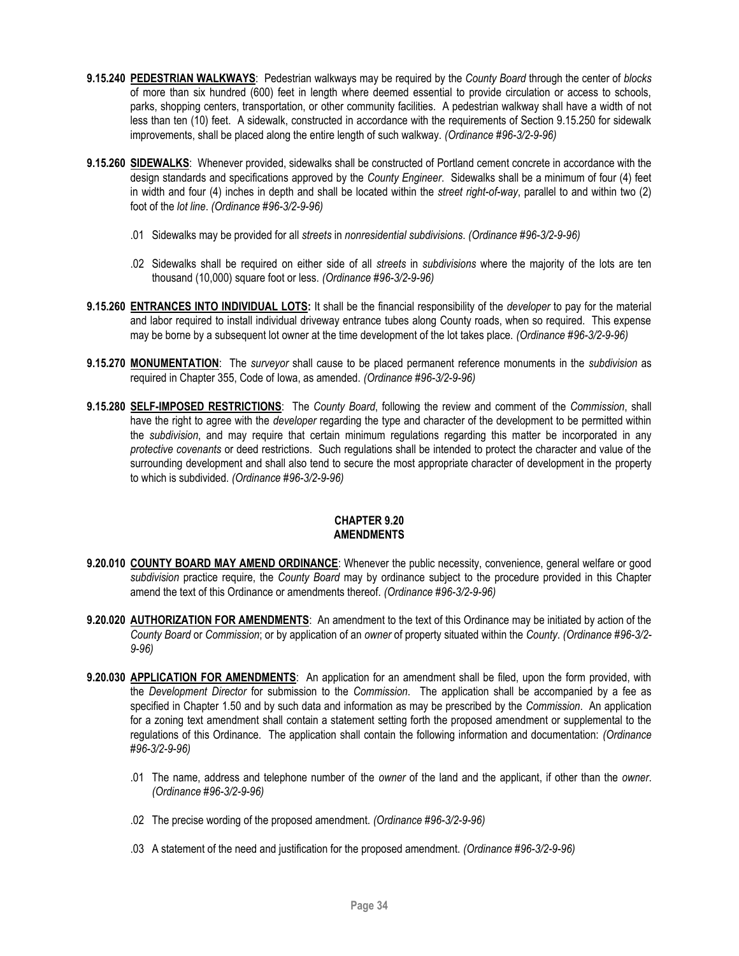- **9.15.240 PEDESTRIAN WALKWAYS**: Pedestrian walkways may be required by the *County Board* through the center of *blocks*  of more than six hundred (600) feet in length where deemed essential to provide circulation or access to schools, parks, shopping centers, transportation, or other community facilities. A pedestrian walkway shall have a width of not less than ten (10) feet. A sidewalk, constructed in accordance with the requirements of Section 9.15.250 for sidewalk improvements, shall be placed along the entire length of such walkway. *(Ordinance #96-3/2-9-96)*
- **9.15.260 SIDEWALKS**: Whenever provided, sidewalks shall be constructed of Portland cement concrete in accordance with the design standards and specifications approved by the *County Engineer*. Sidewalks shall be a minimum of four (4) feet in width and four (4) inches in depth and shall be located within the *street right-of-way*, parallel to and within two (2) foot of the *lot line*. *(Ordinance #96-3/2-9-96)*
	- .01 Sidewalks may be provided for all *streets* in *nonresidential subdivisions*. *(Ordinance #96-3/2-9-96)*
	- .02 Sidewalks shall be required on either side of all *streets* in *subdivisions* where the majority of the lots are ten thousand (10,000) square foot or less. *(Ordinance #96-3/2-9-96)*
- **9.15.260 ENTRANCES INTO INDIVIDUAL LOTS:** It shall be the financial responsibility of the *developer* to pay for the material and labor required to install individual driveway entrance tubes along County roads, when so required. This expense may be borne by a subsequent lot owner at the time development of the lot takes place. *(Ordinance #96-3/2-9-96)*
- **9.15.270 MONUMENTATION**: The *surveyor* shall cause to be placed permanent reference monuments in the *subdivision* as required in Chapter 355, Code of Iowa, as amended. *(Ordinance #96-3/2-9-96)*
- **9.15.280 SELF-IMPOSED RESTRICTIONS**: The *County Board*, following the review and comment of the *Commission*, shall have the right to agree with the *developer* regarding the type and character of the development to be permitted within the *subdivision*, and may require that certain minimum regulations regarding this matter be incorporated in any *protective covenants* or deed restrictions. Such regulations shall be intended to protect the character and value of the surrounding development and shall also tend to secure the most appropriate character of development in the property to which is subdivided. *(Ordinance #96-3/2-9-96)*

# **CHAPTER 9.20 AMENDMENTS**

- <span id="page-33-0"></span>**9.20.010 COUNTY BOARD MAY AMEND ORDINANCE**: Whenever the public necessity, convenience, general welfare or good *subdivision* practice require, the *County Board* may by ordinance subject to the procedure provided in this Chapter amend the text of this Ordinance or amendments thereof. *(Ordinance #96-3/2-9-96)*
- **9.20.020 AUTHORIZATION FOR AMENDMENTS**: An amendment to the text of this Ordinance may be initiated by action of the *County Board* or *Commission*; or by application of an *owner* of property situated within the *County*. *(Ordinance #96-3/2- 9-96)*
- **9.20.030 APPLICATION FOR AMENDMENTS**: An application for an amendment shall be filed, upon the form provided, with the *Development Director* for submission to the *Commission*. The application shall be accompanied by a fee as specified in Chapter 1.50 and by such data and information as may be prescribed by the *Commission*. An application for a zoning text amendment shall contain a statement setting forth the proposed amendment or supplemental to the regulations of this Ordinance. The application shall contain the following information and documentation: *(Ordinance #96-3/2-9-96)*
	- .01 The name, address and telephone number of the *owner* of the land and the applicant, if other than the *owner*. *(Ordinance #96-3/2-9-96)*
	- .02 The precise wording of the proposed amendment. *(Ordinance #96-3/2-9-96)*
	- .03 A statement of the need and justification for the proposed amendment. *(Ordinance #96-3/2-9-96)*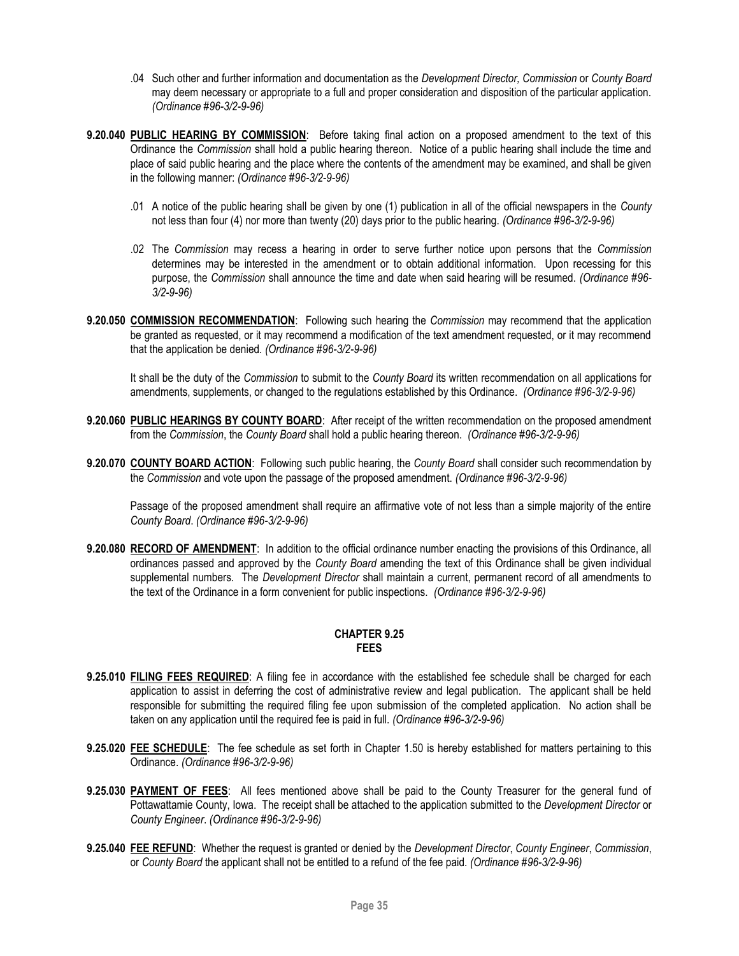- .04 Such other and further information and documentation as the *Development Director, Commission* or *County Board* may deem necessary or appropriate to a full and proper consideration and disposition of the particular application. *(Ordinance #96-3/2-9-96)*
- **9.20.040 PUBLIC HEARING BY COMMISSION**: Before taking final action on a proposed amendment to the text of this Ordinance the *Commission* shall hold a public hearing thereon. Notice of a public hearing shall include the time and place of said public hearing and the place where the contents of the amendment may be examined, and shall be given in the following manner: *(Ordinance #96-3/2-9-96)*
	- .01 A notice of the public hearing shall be given by one (1) publication in all of the official newspapers in the *County* not less than four (4) nor more than twenty (20) days prior to the public hearing. *(Ordinance #96-3/2-9-96)*
	- .02 The *Commission* may recess a hearing in order to serve further notice upon persons that the *Commission*  determines may be interested in the amendment or to obtain additional information. Upon recessing for this purpose, the *Commission* shall announce the time and date when said hearing will be resumed. *(Ordinance #96- 3/2-9-96)*
- **9.20.050 COMMISSION RECOMMENDATION**: Following such hearing the *Commission* may recommend that the application be granted as requested, or it may recommend a modification of the text amendment requested, or it may recommend that the application be denied. *(Ordinance #96-3/2-9-96)*

It shall be the duty of the *Commission* to submit to the *County Board* its written recommendation on all applications for amendments, supplements, or changed to the regulations established by this Ordinance. *(Ordinance #96-3/2-9-96)*

- **9.20.060 PUBLIC HEARINGS BY COUNTY BOARD**: After receipt of the written recommendation on the proposed amendment from the *Commission*, the *County Board* shall hold a public hearing thereon. *(Ordinance #96-3/2-9-96)*
- **9.20.070 COUNTY BOARD ACTION**: Following such public hearing, the *County Board* shall consider such recommendation by the *Commission* and vote upon the passage of the proposed amendment. *(Ordinance #96-3/2-9-96)*

Passage of the proposed amendment shall require an affirmative vote of not less than a simple majority of the entire *County Board*. *(Ordinance #96-3/2-9-96)*

**9.20.080 RECORD OF AMENDMENT**: In addition to the official ordinance number enacting the provisions of this Ordinance, all ordinances passed and approved by the *County Board* amending the text of this Ordinance shall be given individual supplemental numbers. The *Development Director* shall maintain a current, permanent record of all amendments to the text of the Ordinance in a form convenient for public inspections. *(Ordinance #96-3/2-9-96)*

# **CHAPTER 9.25 FEES**

- <span id="page-34-0"></span>**9.25.010 FILING FEES REQUIRED**: A filing fee in accordance with the established fee schedule shall be charged for each application to assist in deferring the cost of administrative review and legal publication. The applicant shall be held responsible for submitting the required filing fee upon submission of the completed application. No action shall be taken on any application until the required fee is paid in full. *(Ordinance #96-3/2-9-96)*
- **9.25.020 FEE SCHEDULE**: The fee schedule as set forth in Chapter 1.50 is hereby established for matters pertaining to this Ordinance. *(Ordinance #96-3/2-9-96)*
- **9.25.030 PAYMENT OF FEES**: All fees mentioned above shall be paid to the County Treasurer for the general fund of Pottawattamie County, Iowa. The receipt shall be attached to the application submitted to the *Development Director* or *County Engineer*. *(Ordinance #96-3/2-9-96)*
- **9.25.040 FEE REFUND**: Whether the request is granted or denied by the *Development Director*, *County Engineer*, *Commission*, or *County Board* the applicant shall not be entitled to a refund of the fee paid. *(Ordinance #96-3/2-9-96)*